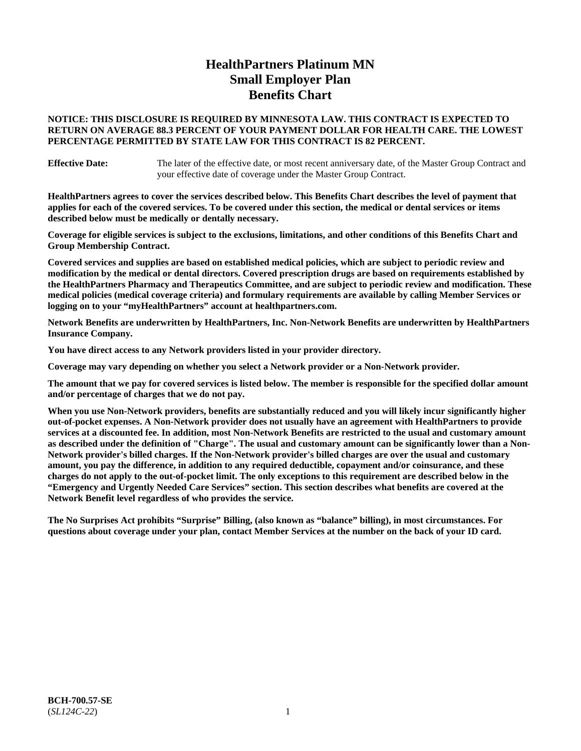# **HealthPartners Platinum MN Small Employer Plan Benefits Chart**

### **NOTICE: THIS DISCLOSURE IS REQUIRED BY MINNESOTA LAW. THIS CONTRACT IS EXPECTED TO RETURN ON AVERAGE 88.3 PERCENT OF YOUR PAYMENT DOLLAR FOR HEALTH CARE. THE LOWEST PERCENTAGE PERMITTED BY STATE LAW FOR THIS CONTRACT IS 82 PERCENT.**

**Effective Date:** The later of the effective date, or most recent anniversary date, of the Master Group Contract and your effective date of coverage under the Master Group Contract.

**HealthPartners agrees to cover the services described below. This Benefits Chart describes the level of payment that applies for each of the covered services. To be covered under this section, the medical or dental services or items described below must be medically or dentally necessary.**

**Coverage for eligible services is subject to the exclusions, limitations, and other conditions of this Benefits Chart and Group Membership Contract.**

**Covered services and supplies are based on established medical policies, which are subject to periodic review and modification by the medical or dental directors. Covered prescription drugs are based on requirements established by the HealthPartners Pharmacy and Therapeutics Committee, and are subject to periodic review and modification. These medical policies (medical coverage criteria) and formulary requirements are available by calling Member Services or logging on to your "myHealthPartners" account at [healthpartners.com.](https://www.healthpartners.com/hp/index.html)**

**Network Benefits are underwritten by HealthPartners, Inc. Non-Network Benefits are underwritten by HealthPartners Insurance Company.** 

**You have direct access to any Network providers listed in your provider directory.**

**Coverage may vary depending on whether you select a Network provider or a Non-Network provider.**

**The amount that we pay for covered services is listed below. The member is responsible for the specified dollar amount and/or percentage of charges that we do not pay.**

**When you use Non-Network providers, benefits are substantially reduced and you will likely incur significantly higher out-of-pocket expenses. A Non-Network provider does not usually have an agreement with HealthPartners to provide services at a discounted fee. In addition, most Non-Network Benefits are restricted to the usual and customary amount as described under the definition of "Charge". The usual and customary amount can be significantly lower than a Non-Network provider's billed charges. If the Non-Network provider's billed charges are over the usual and customary amount, you pay the difference, in addition to any required deductible, copayment and/or coinsurance, and these charges do not apply to the out-of-pocket limit. The only exceptions to this requirement are described below in the "Emergency and Urgently Needed Care Services" section. This section describes what benefits are covered at the Network Benefit level regardless of who provides the service.**

**The No Surprises Act prohibits "Surprise" Billing, (also known as "balance" billing), in most circumstances. For questions about coverage under your plan, contact Member Services at the number on the back of your ID card.**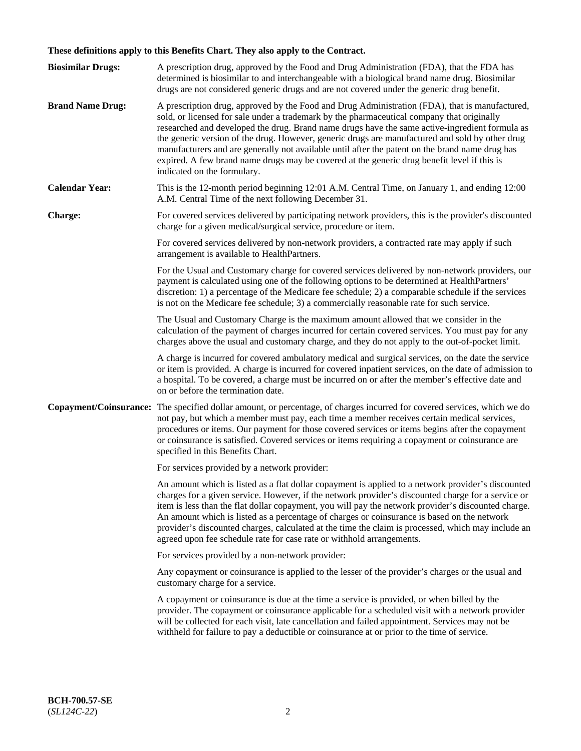# **These definitions apply to this Benefits Chart. They also apply to the Contract.**

| <b>Biosimilar Drugs:</b> | A prescription drug, approved by the Food and Drug Administration (FDA), that the FDA has<br>determined is biosimilar to and interchangeable with a biological brand name drug. Biosimilar<br>drugs are not considered generic drugs and are not covered under the generic drug benefit.                                                                                                                                                                                                                                                                                                                                           |
|--------------------------|------------------------------------------------------------------------------------------------------------------------------------------------------------------------------------------------------------------------------------------------------------------------------------------------------------------------------------------------------------------------------------------------------------------------------------------------------------------------------------------------------------------------------------------------------------------------------------------------------------------------------------|
| <b>Brand Name Drug:</b>  | A prescription drug, approved by the Food and Drug Administration (FDA), that is manufactured,<br>sold, or licensed for sale under a trademark by the pharmaceutical company that originally<br>researched and developed the drug. Brand name drugs have the same active-ingredient formula as<br>the generic version of the drug. However, generic drugs are manufactured and sold by other drug<br>manufacturers and are generally not available until after the patent on the brand name drug has<br>expired. A few brand name drugs may be covered at the generic drug benefit level if this is<br>indicated on the formulary. |
| <b>Calendar Year:</b>    | This is the 12-month period beginning 12:01 A.M. Central Time, on January 1, and ending 12:00<br>A.M. Central Time of the next following December 31.                                                                                                                                                                                                                                                                                                                                                                                                                                                                              |
| <b>Charge:</b>           | For covered services delivered by participating network providers, this is the provider's discounted<br>charge for a given medical/surgical service, procedure or item.                                                                                                                                                                                                                                                                                                                                                                                                                                                            |
|                          | For covered services delivered by non-network providers, a contracted rate may apply if such<br>arrangement is available to HealthPartners.                                                                                                                                                                                                                                                                                                                                                                                                                                                                                        |
|                          | For the Usual and Customary charge for covered services delivered by non-network providers, our<br>payment is calculated using one of the following options to be determined at HealthPartners'<br>discretion: 1) a percentage of the Medicare fee schedule; 2) a comparable schedule if the services<br>is not on the Medicare fee schedule; 3) a commercially reasonable rate for such service.                                                                                                                                                                                                                                  |
|                          | The Usual and Customary Charge is the maximum amount allowed that we consider in the<br>calculation of the payment of charges incurred for certain covered services. You must pay for any<br>charges above the usual and customary charge, and they do not apply to the out-of-pocket limit.                                                                                                                                                                                                                                                                                                                                       |
|                          | A charge is incurred for covered ambulatory medical and surgical services, on the date the service<br>or item is provided. A charge is incurred for covered inpatient services, on the date of admission to<br>a hospital. To be covered, a charge must be incurred on or after the member's effective date and<br>on or before the termination date.                                                                                                                                                                                                                                                                              |
| Copayment/Coinsurance:   | The specified dollar amount, or percentage, of charges incurred for covered services, which we do<br>not pay, but which a member must pay, each time a member receives certain medical services,<br>procedures or items. Our payment for those covered services or items begins after the copayment<br>or coinsurance is satisfied. Covered services or items requiring a copayment or coinsurance are<br>specified in this Benefits Chart.                                                                                                                                                                                        |
|                          | For services provided by a network provider:                                                                                                                                                                                                                                                                                                                                                                                                                                                                                                                                                                                       |
|                          | An amount which is listed as a flat dollar copayment is applied to a network provider's discounted<br>charges for a given service. However, if the network provider's discounted charge for a service or<br>item is less than the flat dollar copayment, you will pay the network provider's discounted charge.<br>An amount which is listed as a percentage of charges or coinsurance is based on the network<br>provider's discounted charges, calculated at the time the claim is processed, which may include an<br>agreed upon fee schedule rate for case rate or withhold arrangements.                                      |
|                          | For services provided by a non-network provider:                                                                                                                                                                                                                                                                                                                                                                                                                                                                                                                                                                                   |
|                          | Any copayment or coinsurance is applied to the lesser of the provider's charges or the usual and<br>customary charge for a service.                                                                                                                                                                                                                                                                                                                                                                                                                                                                                                |
|                          | A copayment or coinsurance is due at the time a service is provided, or when billed by the<br>provider. The copayment or coinsurance applicable for a scheduled visit with a network provider<br>will be collected for each visit, late cancellation and failed appointment. Services may not be<br>withheld for failure to pay a deductible or coinsurance at or prior to the time of service.                                                                                                                                                                                                                                    |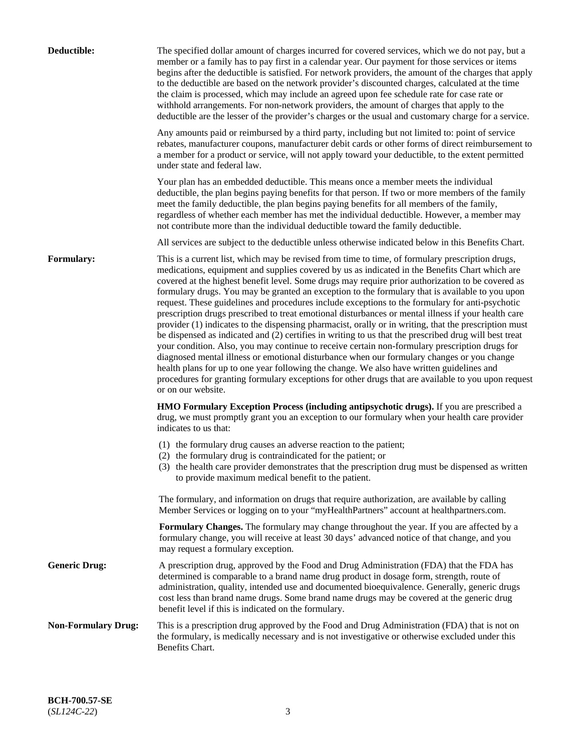| Deductible:                | The specified dollar amount of charges incurred for covered services, which we do not pay, but a<br>member or a family has to pay first in a calendar year. Our payment for those services or items<br>begins after the deductible is satisfied. For network providers, the amount of the charges that apply<br>to the deductible are based on the network provider's discounted charges, calculated at the time<br>the claim is processed, which may include an agreed upon fee schedule rate for case rate or<br>withhold arrangements. For non-network providers, the amount of charges that apply to the<br>deductible are the lesser of the provider's charges or the usual and customary charge for a service.                                                                                                                                                                                                                                                                                                                                                                                                                                                                                                                                             |
|----------------------------|------------------------------------------------------------------------------------------------------------------------------------------------------------------------------------------------------------------------------------------------------------------------------------------------------------------------------------------------------------------------------------------------------------------------------------------------------------------------------------------------------------------------------------------------------------------------------------------------------------------------------------------------------------------------------------------------------------------------------------------------------------------------------------------------------------------------------------------------------------------------------------------------------------------------------------------------------------------------------------------------------------------------------------------------------------------------------------------------------------------------------------------------------------------------------------------------------------------------------------------------------------------|
|                            | Any amounts paid or reimbursed by a third party, including but not limited to: point of service<br>rebates, manufacturer coupons, manufacturer debit cards or other forms of direct reimbursement to<br>a member for a product or service, will not apply toward your deductible, to the extent permitted<br>under state and federal law.                                                                                                                                                                                                                                                                                                                                                                                                                                                                                                                                                                                                                                                                                                                                                                                                                                                                                                                        |
|                            | Your plan has an embedded deductible. This means once a member meets the individual<br>deductible, the plan begins paying benefits for that person. If two or more members of the family<br>meet the family deductible, the plan begins paying benefits for all members of the family,<br>regardless of whether each member has met the individual deductible. However, a member may<br>not contribute more than the individual deductible toward the family deductible.                                                                                                                                                                                                                                                                                                                                                                                                                                                                                                                                                                                                                                                                                                                                                                                         |
|                            | All services are subject to the deductible unless otherwise indicated below in this Benefits Chart.                                                                                                                                                                                                                                                                                                                                                                                                                                                                                                                                                                                                                                                                                                                                                                                                                                                                                                                                                                                                                                                                                                                                                              |
| Formulary:                 | This is a current list, which may be revised from time to time, of formulary prescription drugs,<br>medications, equipment and supplies covered by us as indicated in the Benefits Chart which are<br>covered at the highest benefit level. Some drugs may require prior authorization to be covered as<br>formulary drugs. You may be granted an exception to the formulary that is available to you upon<br>request. These guidelines and procedures include exceptions to the formulary for anti-psychotic<br>prescription drugs prescribed to treat emotional disturbances or mental illness if your health care<br>provider (1) indicates to the dispensing pharmacist, orally or in writing, that the prescription must<br>be dispensed as indicated and (2) certifies in writing to us that the prescribed drug will best treat<br>your condition. Also, you may continue to receive certain non-formulary prescription drugs for<br>diagnosed mental illness or emotional disturbance when our formulary changes or you change<br>health plans for up to one year following the change. We also have written guidelines and<br>procedures for granting formulary exceptions for other drugs that are available to you upon request<br>or on our website. |
|                            | <b>HMO Formulary Exception Process (including antipsychotic drugs).</b> If you are prescribed a<br>drug, we must promptly grant you an exception to our formulary when your health care provider<br>indicates to us that:                                                                                                                                                                                                                                                                                                                                                                                                                                                                                                                                                                                                                                                                                                                                                                                                                                                                                                                                                                                                                                        |
|                            | (1) the formulary drug causes an adverse reaction to the patient;<br>(2) the formulary drug is contraindicated for the patient; or<br>(3) the health care provider demonstrates that the prescription drug must be dispensed as written<br>to provide maximum medical benefit to the patient.                                                                                                                                                                                                                                                                                                                                                                                                                                                                                                                                                                                                                                                                                                                                                                                                                                                                                                                                                                    |
|                            | The formulary, and information on drugs that require authorization, are available by calling<br>Member Services or logging on to your "myHealthPartners" account at healthpartners.com.                                                                                                                                                                                                                                                                                                                                                                                                                                                                                                                                                                                                                                                                                                                                                                                                                                                                                                                                                                                                                                                                          |
|                            | Formulary Changes. The formulary may change throughout the year. If you are affected by a<br>formulary change, you will receive at least 30 days' advanced notice of that change, and you<br>may request a formulary exception.                                                                                                                                                                                                                                                                                                                                                                                                                                                                                                                                                                                                                                                                                                                                                                                                                                                                                                                                                                                                                                  |
| <b>Generic Drug:</b>       | A prescription drug, approved by the Food and Drug Administration (FDA) that the FDA has<br>determined is comparable to a brand name drug product in dosage form, strength, route of<br>administration, quality, intended use and documented bioequivalence. Generally, generic drugs<br>cost less than brand name drugs. Some brand name drugs may be covered at the generic drug<br>benefit level if this is indicated on the formulary.                                                                                                                                                                                                                                                                                                                                                                                                                                                                                                                                                                                                                                                                                                                                                                                                                       |
| <b>Non-Formulary Drug:</b> | This is a prescription drug approved by the Food and Drug Administration (FDA) that is not on<br>the formulary, is medically necessary and is not investigative or otherwise excluded under this<br>Benefits Chart.                                                                                                                                                                                                                                                                                                                                                                                                                                                                                                                                                                                                                                                                                                                                                                                                                                                                                                                                                                                                                                              |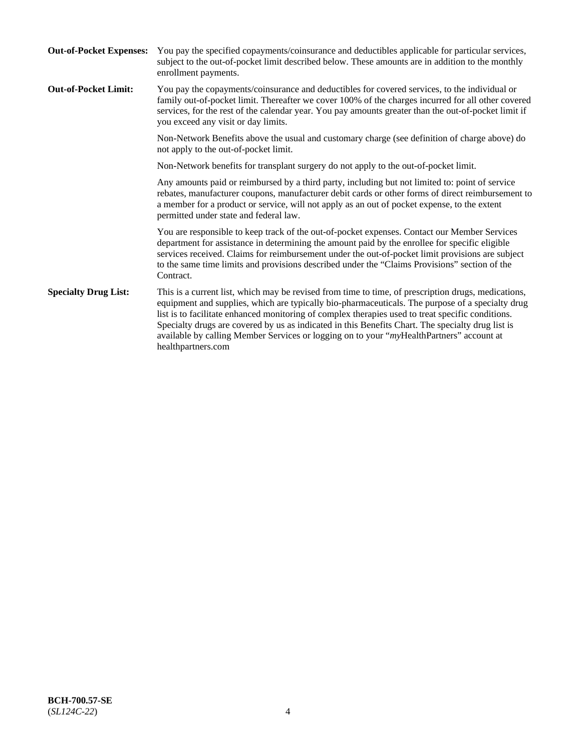| <b>Out-of-Pocket Expenses:</b> | You pay the specified copayments/coinsurance and deductibles applicable for particular services,<br>subject to the out-of-pocket limit described below. These amounts are in addition to the monthly<br>enrollment payments.                                                                                                                                                                                                                                                                                                        |
|--------------------------------|-------------------------------------------------------------------------------------------------------------------------------------------------------------------------------------------------------------------------------------------------------------------------------------------------------------------------------------------------------------------------------------------------------------------------------------------------------------------------------------------------------------------------------------|
| <b>Out-of-Pocket Limit:</b>    | You pay the copayments/coinsurance and deductibles for covered services, to the individual or<br>family out-of-pocket limit. Thereafter we cover 100% of the charges incurred for all other covered<br>services, for the rest of the calendar year. You pay amounts greater than the out-of-pocket limit if<br>you exceed any visit or day limits.                                                                                                                                                                                  |
|                                | Non-Network Benefits above the usual and customary charge (see definition of charge above) do<br>not apply to the out-of-pocket limit.                                                                                                                                                                                                                                                                                                                                                                                              |
|                                | Non-Network benefits for transplant surgery do not apply to the out-of-pocket limit.                                                                                                                                                                                                                                                                                                                                                                                                                                                |
|                                | Any amounts paid or reimbursed by a third party, including but not limited to: point of service<br>rebates, manufacturer coupons, manufacturer debit cards or other forms of direct reimbursement to<br>a member for a product or service, will not apply as an out of pocket expense, to the extent<br>permitted under state and federal law.                                                                                                                                                                                      |
|                                | You are responsible to keep track of the out-of-pocket expenses. Contact our Member Services<br>department for assistance in determining the amount paid by the enrollee for specific eligible<br>services received. Claims for reimbursement under the out-of-pocket limit provisions are subject<br>to the same time limits and provisions described under the "Claims Provisions" section of the<br>Contract.                                                                                                                    |
| <b>Specialty Drug List:</b>    | This is a current list, which may be revised from time to time, of prescription drugs, medications,<br>equipment and supplies, which are typically bio-pharmaceuticals. The purpose of a specialty drug<br>list is to facilitate enhanced monitoring of complex therapies used to treat specific conditions.<br>Specialty drugs are covered by us as indicated in this Benefits Chart. The specialty drug list is<br>available by calling Member Services or logging on to your "myHealthPartners" account at<br>healthpartners.com |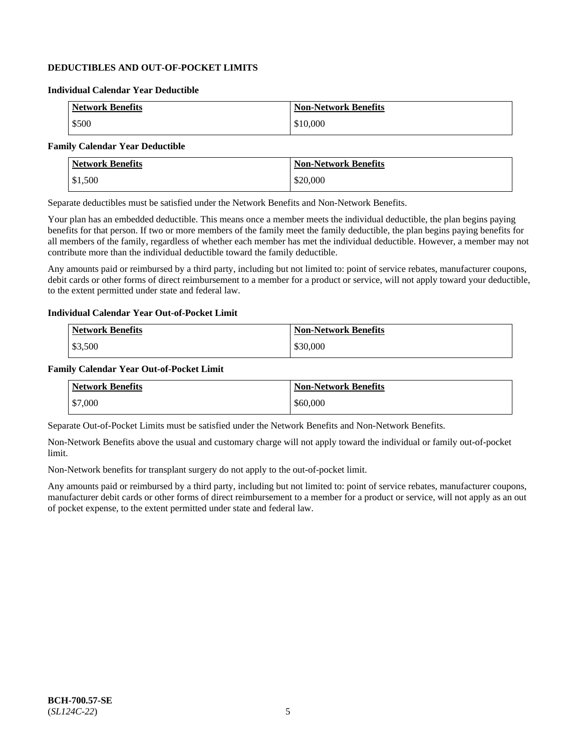## **DEDUCTIBLES AND OUT-OF-POCKET LIMITS**

### **Individual Calendar Year Deductible**

| <b>Network Benefits</b> | <b>Non-Network Benefits</b> |
|-------------------------|-----------------------------|
| \$500                   | \$10,000                    |

## **Family Calendar Year Deductible**

| <b>Network Benefits</b> | <b>Non-Network Benefits</b> |
|-------------------------|-----------------------------|
| \$1,500                 | \$20,000                    |

Separate deductibles must be satisfied under the Network Benefits and Non-Network Benefits.

Your plan has an embedded deductible. This means once a member meets the individual deductible, the plan begins paying benefits for that person. If two or more members of the family meet the family deductible, the plan begins paying benefits for all members of the family, regardless of whether each member has met the individual deductible. However, a member may not contribute more than the individual deductible toward the family deductible.

Any amounts paid or reimbursed by a third party, including but not limited to: point of service rebates, manufacturer coupons, debit cards or other forms of direct reimbursement to a member for a product or service, will not apply toward your deductible, to the extent permitted under state and federal law.

#### **Individual Calendar Year Out-of-Pocket Limit**

| <b>Network Benefits</b> | <b>Non-Network Benefits</b> |
|-------------------------|-----------------------------|
| \$3,500                 | \$30,000                    |

#### **Family Calendar Year Out-of-Pocket Limit**

| <b>Network Benefits</b> | Non-Network Benefits |
|-------------------------|----------------------|
| \$7,000                 | \$60,000             |

Separate Out-of-Pocket Limits must be satisfied under the Network Benefits and Non-Network Benefits.

Non-Network Benefits above the usual and customary charge will not apply toward the individual or family out-of-pocket limit.

Non-Network benefits for transplant surgery do not apply to the out-of-pocket limit.

Any amounts paid or reimbursed by a third party, including but not limited to: point of service rebates, manufacturer coupons, manufacturer debit cards or other forms of direct reimbursement to a member for a product or service, will not apply as an out of pocket expense, to the extent permitted under state and federal law.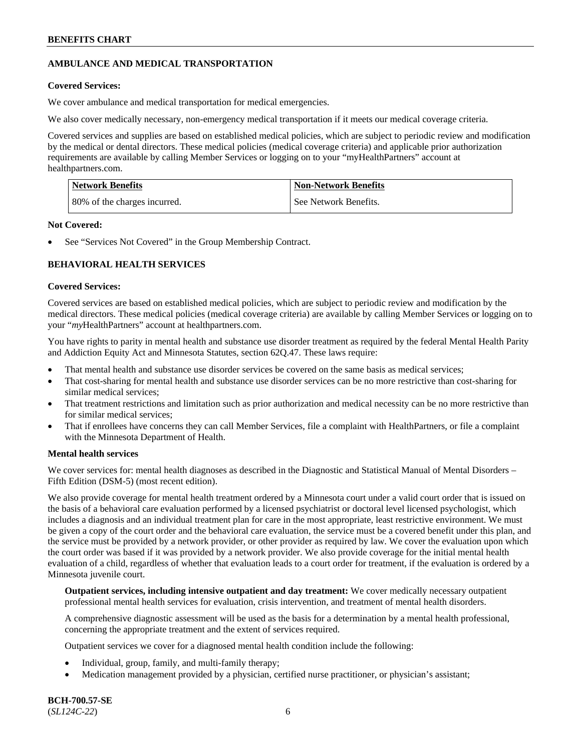## **AMBULANCE AND MEDICAL TRANSPORTATION**

### **Covered Services:**

We cover ambulance and medical transportation for medical emergencies.

We also cover medically necessary, non-emergency medical transportation if it meets our medical coverage criteria.

Covered services and supplies are based on established medical policies, which are subject to periodic review and modification by the medical or dental directors. These medical policies (medical coverage criteria) and applicable prior authorization requirements are available by calling Member Services or logging on to your "myHealthPartners" account at [healthpartners.com.](https://www.healthpartners.com/hp/index.html)

| <b>Network Benefits</b>       | <b>Non-Network Benefits</b> |
|-------------------------------|-----------------------------|
| 180% of the charges incurred. | See Network Benefits.       |

#### **Not Covered:**

See "Services Not Covered" in the Group Membership Contract.

## **BEHAVIORAL HEALTH SERVICES**

#### **Covered Services:**

Covered services are based on established medical policies, which are subject to periodic review and modification by the medical directors. These medical policies (medical coverage criteria) are available by calling Member Services or logging on to your "*my*HealthPartners" account at [healthpartners.com.](http://www.healthpartners.com/)

You have rights to parity in mental health and substance use disorder treatment as required by the federal Mental Health Parity and Addiction Equity Act and Minnesota Statutes, section 62Q.47. These laws require:

- That mental health and substance use disorder services be covered on the same basis as medical services;
- That cost-sharing for mental health and substance use disorder services can be no more restrictive than cost-sharing for similar medical services;
- That treatment restrictions and limitation such as prior authorization and medical necessity can be no more restrictive than for similar medical services;
- That if enrollees have concerns they can call Member Services, file a complaint with HealthPartners, or file a complaint with the Minnesota Department of Health.

### **Mental health services**

We cover services for: mental health diagnoses as described in the Diagnostic and Statistical Manual of Mental Disorders – Fifth Edition (DSM-5) (most recent edition).

We also provide coverage for mental health treatment ordered by a Minnesota court under a valid court order that is issued on the basis of a behavioral care evaluation performed by a licensed psychiatrist or doctoral level licensed psychologist, which includes a diagnosis and an individual treatment plan for care in the most appropriate, least restrictive environment. We must be given a copy of the court order and the behavioral care evaluation, the service must be a covered benefit under this plan, and the service must be provided by a network provider, or other provider as required by law. We cover the evaluation upon which the court order was based if it was provided by a network provider. We also provide coverage for the initial mental health evaluation of a child, regardless of whether that evaluation leads to a court order for treatment, if the evaluation is ordered by a Minnesota juvenile court.

**Outpatient services, including intensive outpatient and day treatment:** We cover medically necessary outpatient professional mental health services for evaluation, crisis intervention, and treatment of mental health disorders.

A comprehensive diagnostic assessment will be used as the basis for a determination by a mental health professional, concerning the appropriate treatment and the extent of services required.

Outpatient services we cover for a diagnosed mental health condition include the following:

- Individual, group, family, and multi-family therapy;
- Medication management provided by a physician, certified nurse practitioner, or physician's assistant;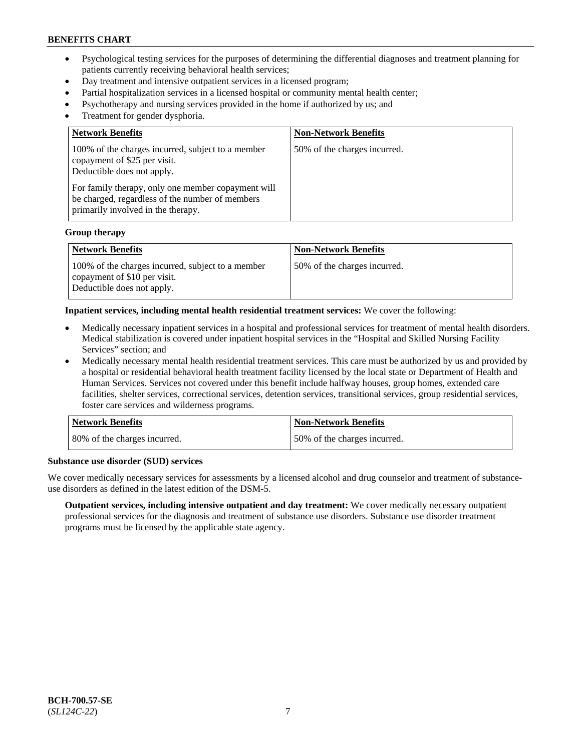- Psychological testing services for the purposes of determining the differential diagnoses and treatment planning for patients currently receiving behavioral health services;
- Day treatment and intensive outpatient services in a licensed program;
- Partial hospitalization services in a licensed hospital or community mental health center;
- Psychotherapy and nursing services provided in the home if authorized by us; and
- Treatment for gender dysphoria.

| <b>Network Benefits</b>                                                                                                                                                                                                                                        | <b>Non-Network Benefits</b>  |
|----------------------------------------------------------------------------------------------------------------------------------------------------------------------------------------------------------------------------------------------------------------|------------------------------|
| 100% of the charges incurred, subject to a member<br>copayment of \$25 per visit.<br>Deductible does not apply.<br>For family therapy, only one member copayment will<br>be charged, regardless of the number of members<br>primarily involved in the therapy. | 50% of the charges incurred. |

#### **Group therapy**

| Network Benefits                                                                                                | <b>Non-Network Benefits</b>   |
|-----------------------------------------------------------------------------------------------------------------|-------------------------------|
| 100% of the charges incurred, subject to a member<br>copayment of \$10 per visit.<br>Deductible does not apply. | 150% of the charges incurred. |

#### **Inpatient services, including mental health residential treatment services:** We cover the following:

- Medically necessary inpatient services in a hospital and professional services for treatment of mental health disorders. Medical stabilization is covered under inpatient hospital services in the "Hospital and Skilled Nursing Facility Services" section; and
- Medically necessary mental health residential treatment services. This care must be authorized by us and provided by a hospital or residential behavioral health treatment facility licensed by the local state or Department of Health and Human Services. Services not covered under this benefit include halfway houses, group homes, extended care facilities, shelter services, correctional services, detention services, transitional services, group residential services, foster care services and wilderness programs.

| <b>Network Benefits</b>      | <b>Non-Network Benefits</b>  |
|------------------------------|------------------------------|
| 80% of the charges incurred. | 50% of the charges incurred. |

#### **Substance use disorder (SUD) services**

We cover medically necessary services for assessments by a licensed alcohol and drug counselor and treatment of substanceuse disorders as defined in the latest edition of the DSM-5.

**Outpatient services, including intensive outpatient and day treatment:** We cover medically necessary outpatient professional services for the diagnosis and treatment of substance use disorders. Substance use disorder treatment programs must be licensed by the applicable state agency.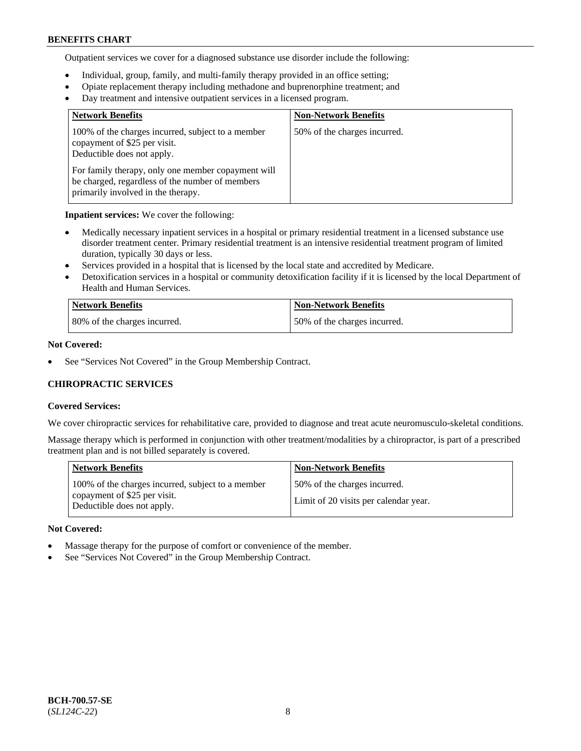Outpatient services we cover for a diagnosed substance use disorder include the following:

- Individual, group, family, and multi-family therapy provided in an office setting;
- Opiate replacement therapy including methadone and buprenorphine treatment; and
- Day treatment and intensive outpatient services in a licensed program.

| <b>Network Benefits</b>                                                                                                                     | <b>Non-Network Benefits</b>  |
|---------------------------------------------------------------------------------------------------------------------------------------------|------------------------------|
| 100% of the charges incurred, subject to a member<br>copayment of \$25 per visit.<br>Deductible does not apply.                             | 50% of the charges incurred. |
| For family therapy, only one member copayment will<br>be charged, regardless of the number of members<br>primarily involved in the therapy. |                              |

**Inpatient services:** We cover the following:

- Medically necessary inpatient services in a hospital or primary residential treatment in a licensed substance use disorder treatment center. Primary residential treatment is an intensive residential treatment program of limited duration, typically 30 days or less.
- Services provided in a hospital that is licensed by the local state and accredited by Medicare.
- Detoxification services in a hospital or community detoxification facility if it is licensed by the local Department of Health and Human Services.

| <b>Network Benefits</b>       | <b>Non-Network Benefits</b>  |
|-------------------------------|------------------------------|
| 180% of the charges incurred. | 50% of the charges incurred. |

### **Not Covered:**

See "Services Not Covered" in the Group Membership Contract.

## **CHIROPRACTIC SERVICES**

### **Covered Services:**

We cover chiropractic services for rehabilitative care, provided to diagnose and treat acute neuromusculo-skeletal conditions.

Massage therapy which is performed in conjunction with other treatment/modalities by a chiropractor, is part of a prescribed treatment plan and is not billed separately is covered.

| <b>Network Benefits</b>                                                                                         | <b>Non-Network Benefits</b>                                           |
|-----------------------------------------------------------------------------------------------------------------|-----------------------------------------------------------------------|
| 100% of the charges incurred, subject to a member<br>copayment of \$25 per visit.<br>Deductible does not apply. | 50% of the charges incurred.<br>Limit of 20 visits per calendar year. |

### **Not Covered:**

- Massage therapy for the purpose of comfort or convenience of the member.
- See "Services Not Covered" in the Group Membership Contract.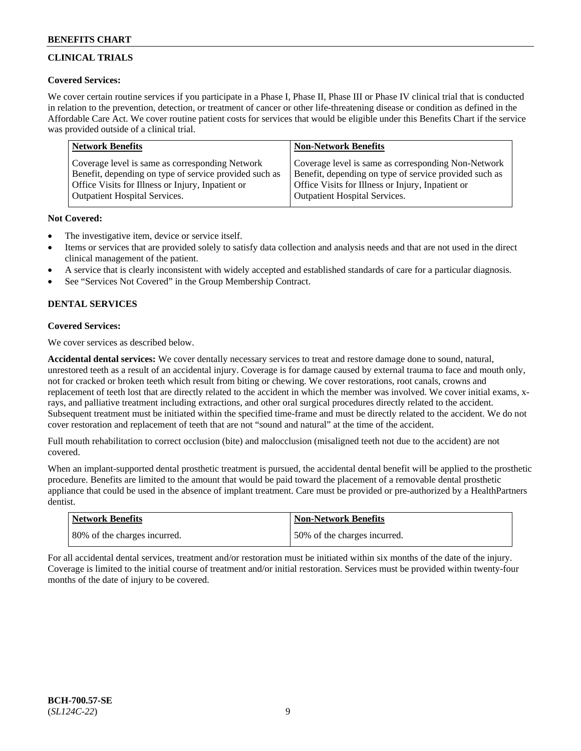## **CLINICAL TRIALS**

## **Covered Services:**

We cover certain routine services if you participate in a Phase I, Phase II, Phase III or Phase IV clinical trial that is conducted in relation to the prevention, detection, or treatment of cancer or other life-threatening disease or condition as defined in the Affordable Care Act. We cover routine patient costs for services that would be eligible under this Benefits Chart if the service was provided outside of a clinical trial.

| <b>Network Benefits</b>                                | <b>Non-Network Benefits</b>                            |
|--------------------------------------------------------|--------------------------------------------------------|
| Coverage level is same as corresponding Network        | Coverage level is same as corresponding Non-Network    |
| Benefit, depending on type of service provided such as | Benefit, depending on type of service provided such as |
| Office Visits for Illness or Injury, Inpatient or      | Office Visits for Illness or Injury, Inpatient or      |
| <b>Outpatient Hospital Services.</b>                   | <b>Outpatient Hospital Services.</b>                   |

### **Not Covered:**

- The investigative item, device or service itself.
- Items or services that are provided solely to satisfy data collection and analysis needs and that are not used in the direct clinical management of the patient.
- A service that is clearly inconsistent with widely accepted and established standards of care for a particular diagnosis.
- See "Services Not Covered" in the Group Membership Contract.

## **DENTAL SERVICES**

## **Covered Services:**

We cover services as described below.

**Accidental dental services:** We cover dentally necessary services to treat and restore damage done to sound, natural, unrestored teeth as a result of an accidental injury. Coverage is for damage caused by external trauma to face and mouth only, not for cracked or broken teeth which result from biting or chewing. We cover restorations, root canals, crowns and replacement of teeth lost that are directly related to the accident in which the member was involved. We cover initial exams, xrays, and palliative treatment including extractions, and other oral surgical procedures directly related to the accident. Subsequent treatment must be initiated within the specified time-frame and must be directly related to the accident. We do not cover restoration and replacement of teeth that are not "sound and natural" at the time of the accident.

Full mouth rehabilitation to correct occlusion (bite) and malocclusion (misaligned teeth not due to the accident) are not covered.

When an implant-supported dental prosthetic treatment is pursued, the accidental dental benefit will be applied to the prosthetic procedure. Benefits are limited to the amount that would be paid toward the placement of a removable dental prosthetic appliance that could be used in the absence of implant treatment. Care must be provided or pre-authorized by a HealthPartners dentist.

| <b>Network Benefits</b>      | <b>Non-Network Benefits</b>   |
|------------------------------|-------------------------------|
| 80% of the charges incurred. | 150% of the charges incurred. |

For all accidental dental services, treatment and/or restoration must be initiated within six months of the date of the injury. Coverage is limited to the initial course of treatment and/or initial restoration. Services must be provided within twenty-four months of the date of injury to be covered.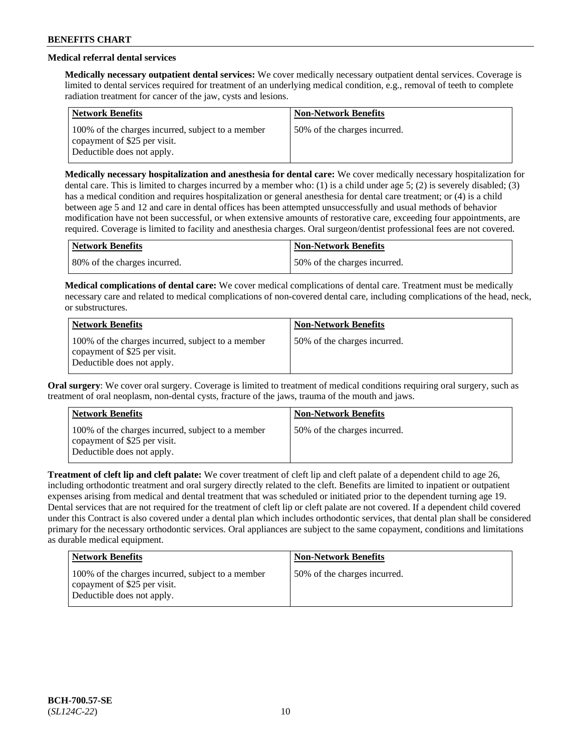## **Medical referral dental services**

**Medically necessary outpatient dental services:** We cover medically necessary outpatient dental services. Coverage is limited to dental services required for treatment of an underlying medical condition, e.g., removal of teeth to complete radiation treatment for cancer of the jaw, cysts and lesions.

| <b>Network Benefits</b>                                                                                         | <b>Non-Network Benefits</b>  |
|-----------------------------------------------------------------------------------------------------------------|------------------------------|
| 100% of the charges incurred, subject to a member<br>copayment of \$25 per visit.<br>Deductible does not apply. | 50% of the charges incurred. |

**Medically necessary hospitalization and anesthesia for dental care:** We cover medically necessary hospitalization for dental care. This is limited to charges incurred by a member who: (1) is a child under age 5; (2) is severely disabled; (3) has a medical condition and requires hospitalization or general anesthesia for dental care treatment; or (4) is a child between age 5 and 12 and care in dental offices has been attempted unsuccessfully and usual methods of behavior modification have not been successful, or when extensive amounts of restorative care, exceeding four appointments, are required. Coverage is limited to facility and anesthesia charges. Oral surgeon/dentist professional fees are not covered.

| Network Benefits             | <b>Non-Network Benefits</b>  |
|------------------------------|------------------------------|
| 80% of the charges incurred. | 50% of the charges incurred. |

**Medical complications of dental care:** We cover medical complications of dental care. Treatment must be medically necessary care and related to medical complications of non-covered dental care, including complications of the head, neck, or substructures.

| <b>Network Benefits</b>                                                                                         | <b>Non-Network Benefits</b>  |
|-----------------------------------------------------------------------------------------------------------------|------------------------------|
| 100% of the charges incurred, subject to a member<br>copayment of \$25 per visit.<br>Deductible does not apply. | 50% of the charges incurred. |

**Oral surgery**: We cover oral surgery. Coverage is limited to treatment of medical conditions requiring oral surgery, such as treatment of oral neoplasm, non-dental cysts, fracture of the jaws, trauma of the mouth and jaws.

| <b>Network Benefits</b>                                                                                         | <b>Non-Network Benefits</b>  |
|-----------------------------------------------------------------------------------------------------------------|------------------------------|
| 100% of the charges incurred, subject to a member<br>copayment of \$25 per visit.<br>Deductible does not apply. | 50% of the charges incurred. |

**Treatment of cleft lip and cleft palate:** We cover treatment of cleft lip and cleft palate of a dependent child to age 26, including orthodontic treatment and oral surgery directly related to the cleft. Benefits are limited to inpatient or outpatient expenses arising from medical and dental treatment that was scheduled or initiated prior to the dependent turning age 19. Dental services that are not required for the treatment of cleft lip or cleft palate are not covered. If a dependent child covered under this Contract is also covered under a dental plan which includes orthodontic services, that dental plan shall be considered primary for the necessary orthodontic services. Oral appliances are subject to the same copayment, conditions and limitations as durable medical equipment.

| Network Benefits                                                                                                | <b>Non-Network Benefits</b>  |
|-----------------------------------------------------------------------------------------------------------------|------------------------------|
| 100% of the charges incurred, subject to a member<br>copayment of \$25 per visit.<br>Deductible does not apply. | 50% of the charges incurred. |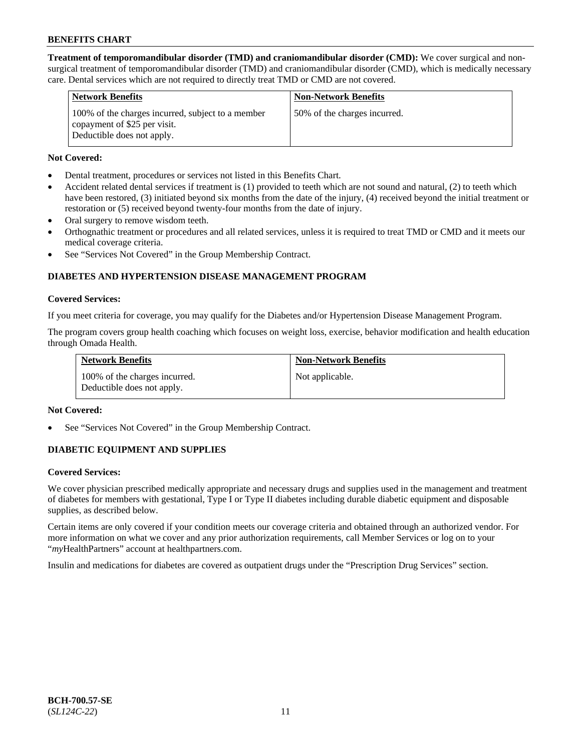**Treatment of temporomandibular disorder (TMD) and craniomandibular disorder (CMD):** We cover surgical and nonsurgical treatment of temporomandibular disorder (TMD) and craniomandibular disorder (CMD), which is medically necessary care. Dental services which are not required to directly treat TMD or CMD are not covered.

| <b>Network Benefits</b>                                                                                         | <b>Non-Network Benefits</b>  |
|-----------------------------------------------------------------------------------------------------------------|------------------------------|
| 100% of the charges incurred, subject to a member<br>copayment of \$25 per visit.<br>Deductible does not apply. | 50% of the charges incurred. |

### **Not Covered:**

- Dental treatment, procedures or services not listed in this Benefits Chart.
- Accident related dental services if treatment is (1) provided to teeth which are not sound and natural, (2) to teeth which have been restored, (3) initiated beyond six months from the date of the injury, (4) received beyond the initial treatment or restoration or (5) received beyond twenty-four months from the date of injury.
- Oral surgery to remove wisdom teeth.
- Orthognathic treatment or procedures and all related services, unless it is required to treat TMD or CMD and it meets our medical coverage criteria.
- See "Services Not Covered" in the Group Membership Contract.

### **DIABETES AND HYPERTENSION DISEASE MANAGEMENT PROGRAM**

#### **Covered Services:**

If you meet criteria for coverage, you may qualify for the Diabetes and/or Hypertension Disease Management Program.

The program covers group health coaching which focuses on weight loss, exercise, behavior modification and health education through Omada Health.

| <b>Network Benefits</b>                                     | <b>Non-Network Benefits</b> |
|-------------------------------------------------------------|-----------------------------|
| 100% of the charges incurred.<br>Deductible does not apply. | Not applicable.             |

#### **Not Covered:**

See "Services Not Covered" in the Group Membership Contract.

### **DIABETIC EQUIPMENT AND SUPPLIES**

#### **Covered Services:**

We cover physician prescribed medically appropriate and necessary drugs and supplies used in the management and treatment of diabetes for members with gestational, Type I or Type II diabetes including durable diabetic equipment and disposable supplies, as described below.

Certain items are only covered if your condition meets our coverage criteria and obtained through an authorized vendor. For more information on what we cover and any prior authorization requirements, call Member Services or log on to your "*my*HealthPartners" account at [healthpartners.com.](http://www.healthpartners.com/)

Insulin and medications for diabetes are covered as outpatient drugs under the "Prescription Drug Services" section.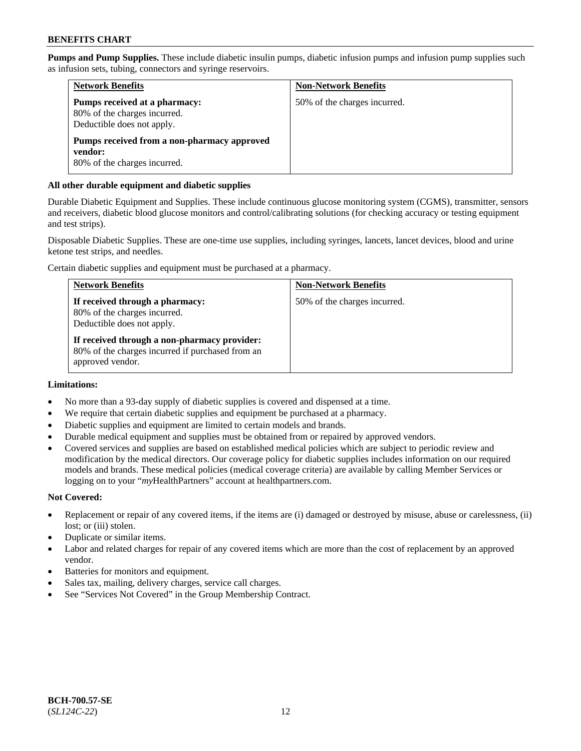**Pumps and Pump Supplies.** These include diabetic insulin pumps, diabetic infusion pumps and infusion pump supplies such as infusion sets, tubing, connectors and syringe reservoirs.

| <b>Network Benefits</b>                                                                     | <b>Non-Network Benefits</b>  |
|---------------------------------------------------------------------------------------------|------------------------------|
| Pumps received at a pharmacy:<br>80% of the charges incurred.<br>Deductible does not apply. | 50% of the charges incurred. |
| Pumps received from a non-pharmacy approved<br>vendor:<br>80% of the charges incurred.      |                              |

## **All other durable equipment and diabetic supplies**

Durable Diabetic Equipment and Supplies. These include continuous glucose monitoring system (CGMS), transmitter, sensors and receivers, diabetic blood glucose monitors and control/calibrating solutions (for checking accuracy or testing equipment and test strips).

Disposable Diabetic Supplies. These are one-time use supplies, including syringes, lancets, lancet devices, blood and urine ketone test strips, and needles.

Certain diabetic supplies and equipment must be purchased at a pharmacy.

| <b>Network Benefits</b>                                                                                              | <b>Non-Network Benefits</b>  |
|----------------------------------------------------------------------------------------------------------------------|------------------------------|
| If received through a pharmacy:<br>80% of the charges incurred.<br>Deductible does not apply.                        | 50% of the charges incurred. |
| If received through a non-pharmacy provider:<br>80% of the charges incurred if purchased from an<br>approved vendor. |                              |

### **Limitations:**

- No more than a 93-day supply of diabetic supplies is covered and dispensed at a time.
- We require that certain diabetic supplies and equipment be purchased at a pharmacy.
- Diabetic supplies and equipment are limited to certain models and brands.
- Durable medical equipment and supplies must be obtained from or repaired by approved vendors.
- Covered services and supplies are based on established medical policies which are subject to periodic review and modification by the medical directors. Our coverage policy for diabetic supplies includes information on our required models and brands. These medical policies (medical coverage criteria) are available by calling Member Services or logging on to your "*my*HealthPartners" account at [healthpartners.com.](http://www.healthpartners.com/)

### **Not Covered:**

- Replacement or repair of any covered items, if the items are (i) damaged or destroyed by misuse, abuse or carelessness, (ii) lost; or (iii) stolen.
- Duplicate or similar items.
- Labor and related charges for repair of any covered items which are more than the cost of replacement by an approved vendor.
- Batteries for monitors and equipment.
- Sales tax, mailing, delivery charges, service call charges.
- See "Services Not Covered" in the Group Membership Contract.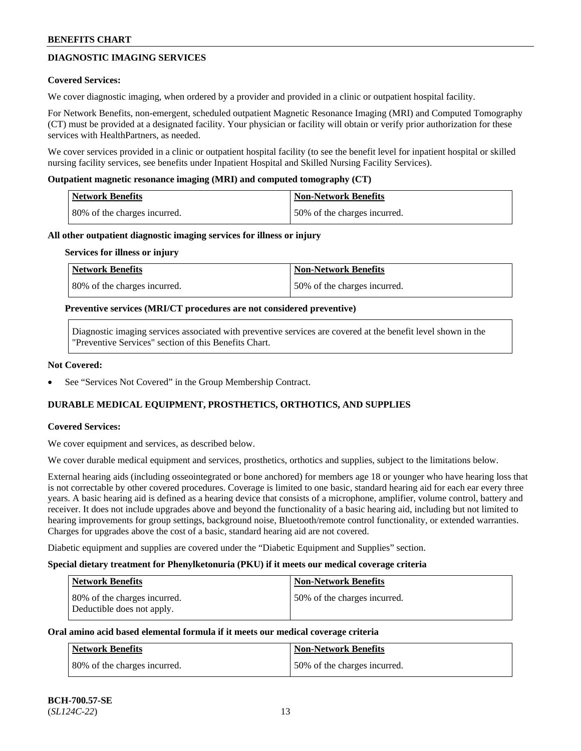## **DIAGNOSTIC IMAGING SERVICES**

### **Covered Services:**

We cover diagnostic imaging, when ordered by a provider and provided in a clinic or outpatient hospital facility.

For Network Benefits, non-emergent, scheduled outpatient Magnetic Resonance Imaging (MRI) and Computed Tomography (CT) must be provided at a designated facility. Your physician or facility will obtain or verify prior authorization for these services with HealthPartners, as needed.

We cover services provided in a clinic or outpatient hospital facility (to see the benefit level for inpatient hospital or skilled nursing facility services, see benefits under Inpatient Hospital and Skilled Nursing Facility Services).

#### **Outpatient magnetic resonance imaging (MRI) and computed tomography (CT)**

| Network Benefits             | <b>Non-Network Benefits</b>  |
|------------------------------|------------------------------|
| 80% of the charges incurred. | 50% of the charges incurred. |

#### **All other outpatient diagnostic imaging services for illness or injury**

#### **Services for illness or injury**

| Network Benefits             | Non-Network Benefits         |
|------------------------------|------------------------------|
| 80% of the charges incurred. | 50% of the charges incurred. |

#### **Preventive services (MRI/CT procedures are not considered preventive)**

Diagnostic imaging services associated with preventive services are covered at the benefit level shown in the "Preventive Services" section of this Benefits Chart.

#### **Not Covered:**

See "Services Not Covered" in the Group Membership Contract.

### **DURABLE MEDICAL EQUIPMENT, PROSTHETICS, ORTHOTICS, AND SUPPLIES**

### **Covered Services:**

We cover equipment and services, as described below.

We cover durable medical equipment and services, prosthetics, orthotics and supplies, subject to the limitations below.

External hearing aids (including osseointegrated or bone anchored) for members age 18 or younger who have hearing loss that is not correctable by other covered procedures. Coverage is limited to one basic, standard hearing aid for each ear every three years. A basic hearing aid is defined as a hearing device that consists of a microphone, amplifier, volume control, battery and receiver. It does not include upgrades above and beyond the functionality of a basic hearing aid, including but not limited to hearing improvements for group settings, background noise, Bluetooth/remote control functionality, or extended warranties. Charges for upgrades above the cost of a basic, standard hearing aid are not covered.

Diabetic equipment and supplies are covered under the "Diabetic Equipment and Supplies" section.

#### **Special dietary treatment for Phenylketonuria (PKU) if it meets our medical coverage criteria**

| <b>Network Benefits</b>                                    | <b>Non-Network Benefits</b>  |
|------------------------------------------------------------|------------------------------|
| 80% of the charges incurred.<br>Deductible does not apply. | 50% of the charges incurred. |

### **Oral amino acid based elemental formula if it meets our medical coverage criteria**

| Network Benefits             | <b>Non-Network Benefits</b>  |
|------------------------------|------------------------------|
| 80% of the charges incurred. | 50% of the charges incurred. |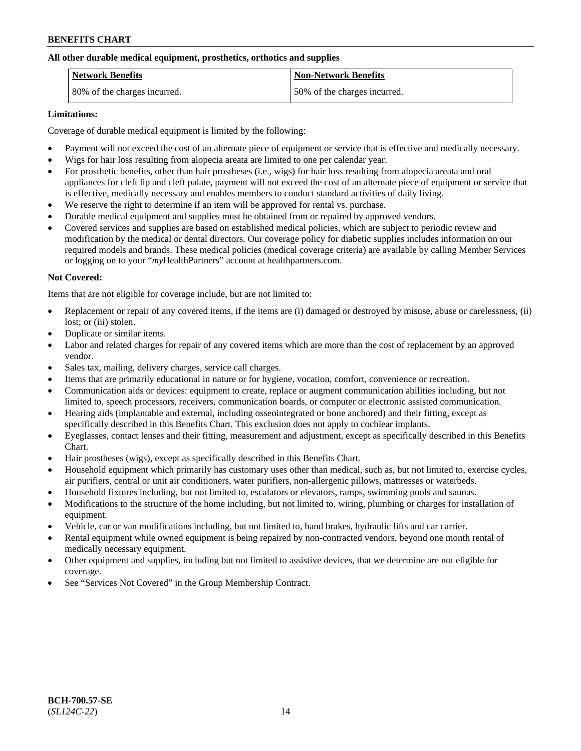## **All other durable medical equipment, prosthetics, orthotics and supplies**

| <b>Network Benefits</b>      | <b>Non-Network Benefits</b>  |
|------------------------------|------------------------------|
| 80% of the charges incurred. | 50% of the charges incurred. |

### **Limitations:**

Coverage of durable medical equipment is limited by the following:

- Payment will not exceed the cost of an alternate piece of equipment or service that is effective and medically necessary.
- Wigs for hair loss resulting from alopecia areata are limited to one per calendar year.
- For prosthetic benefits, other than hair prostheses (i.e., wigs) for hair loss resulting from alopecia areata and oral appliances for cleft lip and cleft palate, payment will not exceed the cost of an alternate piece of equipment or service that is effective, medically necessary and enables members to conduct standard activities of daily living.
- We reserve the right to determine if an item will be approved for rental vs. purchase.
- Durable medical equipment and supplies must be obtained from or repaired by approved vendors.
- Covered services and supplies are based on established medical policies, which are subject to periodic review and modification by the medical or dental directors. Our coverage policy for diabetic supplies includes information on our required models and brands. These medical policies (medical coverage criteria) are available by calling Member Services or logging on to your "*my*HealthPartners" account a[t healthpartners.com.](https://www.healthpartners.com/hp/index.html)

## **Not Covered:**

Items that are not eligible for coverage include, but are not limited to:

- Replacement or repair of any covered items, if the items are (i) damaged or destroyed by misuse, abuse or carelessness, (ii) lost; or (iii) stolen.
- Duplicate or similar items.
- Labor and related charges for repair of any covered items which are more than the cost of replacement by an approved vendor.
- Sales tax, mailing, delivery charges, service call charges.
- Items that are primarily educational in nature or for hygiene, vocation, comfort, convenience or recreation.
- Communication aids or devices: equipment to create, replace or augment communication abilities including, but not limited to, speech processors, receivers, communication boards, or computer or electronic assisted communication.
- Hearing aids (implantable and external, including osseointegrated or bone anchored) and their fitting, except as specifically described in this Benefits Chart. This exclusion does not apply to cochlear implants.
- Eyeglasses, contact lenses and their fitting, measurement and adjustment, except as specifically described in this Benefits Chart.
- Hair prostheses (wigs), except as specifically described in this Benefits Chart.
- Household equipment which primarily has customary uses other than medical, such as, but not limited to, exercise cycles, air purifiers, central or unit air conditioners, water purifiers, non-allergenic pillows, mattresses or waterbeds.
- Household fixtures including, but not limited to, escalators or elevators, ramps, swimming pools and saunas.
- Modifications to the structure of the home including, but not limited to, wiring, plumbing or charges for installation of equipment.
- Vehicle, car or van modifications including, but not limited to, hand brakes, hydraulic lifts and car carrier.
- Rental equipment while owned equipment is being repaired by non-contracted vendors, beyond one month rental of medically necessary equipment.
- Other equipment and supplies, including but not limited to assistive devices, that we determine are not eligible for coverage.
- See "Services Not Covered" in the Group Membership Contract.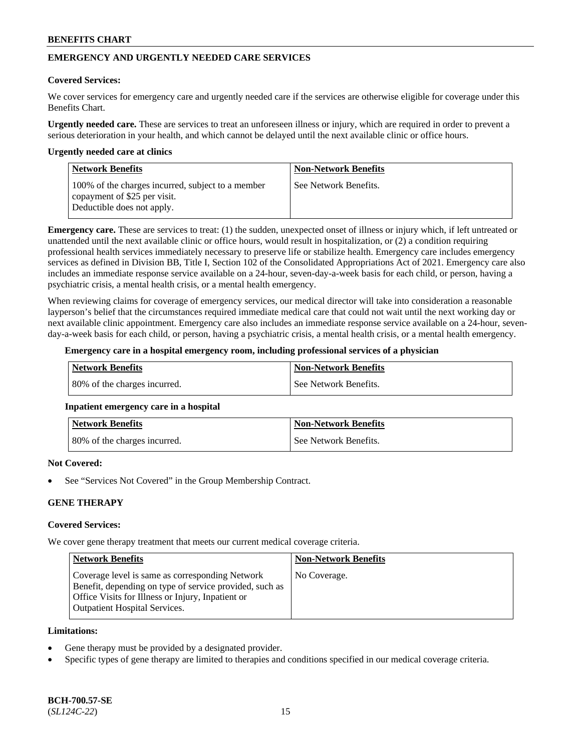## **EMERGENCY AND URGENTLY NEEDED CARE SERVICES**

#### **Covered Services:**

We cover services for emergency care and urgently needed care if the services are otherwise eligible for coverage under this Benefits Chart.

**Urgently needed care.** These are services to treat an unforeseen illness or injury, which are required in order to prevent a serious deterioration in your health, and which cannot be delayed until the next available clinic or office hours.

#### **Urgently needed care at clinics**

| <b>Network Benefits</b>                                                                                         | <b>Non-Network Benefits</b> |
|-----------------------------------------------------------------------------------------------------------------|-----------------------------|
| 100% of the charges incurred, subject to a member<br>copayment of \$25 per visit.<br>Deductible does not apply. | See Network Benefits.       |

**Emergency care.** These are services to treat: (1) the sudden, unexpected onset of illness or injury which, if left untreated or unattended until the next available clinic or office hours, would result in hospitalization, or (2) a condition requiring professional health services immediately necessary to preserve life or stabilize health. Emergency care includes emergency services as defined in Division BB, Title I, Section 102 of the Consolidated Appropriations Act of 2021. Emergency care also includes an immediate response service available on a 24-hour, seven-day-a-week basis for each child, or person, having a psychiatric crisis, a mental health crisis, or a mental health emergency.

When reviewing claims for coverage of emergency services, our medical director will take into consideration a reasonable layperson's belief that the circumstances required immediate medical care that could not wait until the next working day or next available clinic appointment. Emergency care also includes an immediate response service available on a 24-hour, sevenday-a-week basis for each child, or person, having a psychiatric crisis, a mental health crisis, or a mental health emergency.

#### **Emergency care in a hospital emergency room, including professional services of a physician**

| Network Benefits             | Non-Network Benefits  |
|------------------------------|-----------------------|
| 80% of the charges incurred. | See Network Benefits. |

### **Inpatient emergency care in a hospital**

| Network Benefits             | Non-Network Benefits  |
|------------------------------|-----------------------|
| 80% of the charges incurred. | See Network Benefits. |

### **Not Covered:**

See "Services Not Covered" in the Group Membership Contract.

## **GENE THERAPY**

### **Covered Services:**

We cover gene therapy treatment that meets our current medical coverage criteria.

| <b>Network Benefits</b>                                                                                                                                                                                 | <b>Non-Network Benefits</b> |
|---------------------------------------------------------------------------------------------------------------------------------------------------------------------------------------------------------|-----------------------------|
| Coverage level is same as corresponding Network<br>Benefit, depending on type of service provided, such as<br>Office Visits for Illness or Injury, Inpatient or<br><b>Outpatient Hospital Services.</b> | No Coverage.                |

#### **Limitations:**

- Gene therapy must be provided by a designated provider.
- Specific types of gene therapy are limited to therapies and conditions specified in our medical coverage criteria.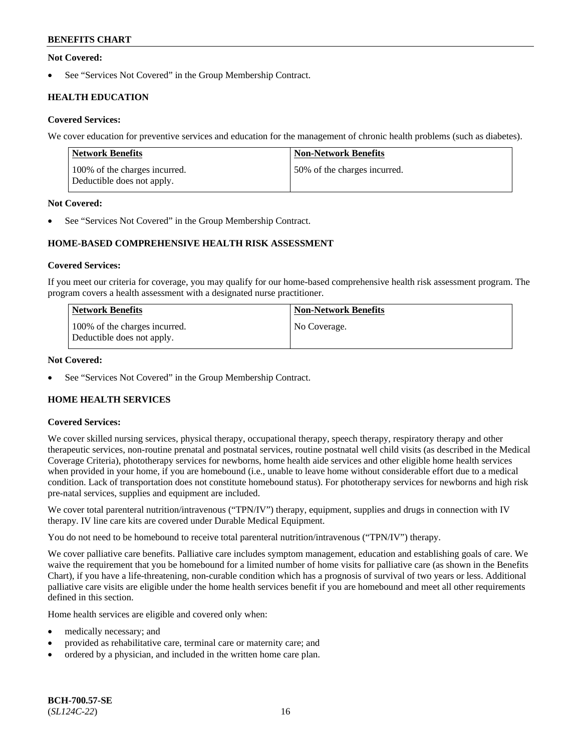## **Not Covered:**

See "Services Not Covered" in the Group Membership Contract.

## **HEALTH EDUCATION**

### **Covered Services:**

We cover education for preventive services and education for the management of chronic health problems (such as diabetes).

| <b>Network Benefits</b>                                     | <b>Non-Network Benefits</b>  |
|-------------------------------------------------------------|------------------------------|
| 100% of the charges incurred.<br>Deductible does not apply. | 50% of the charges incurred. |

### **Not Covered:**

See "Services Not Covered" in the Group Membership Contract.

## **HOME-BASED COMPREHENSIVE HEALTH RISK ASSESSMENT**

#### **Covered Services:**

If you meet our criteria for coverage, you may qualify for our home-based comprehensive health risk assessment program. The program covers a health assessment with a designated nurse practitioner.

| <b>Network Benefits</b>                                     | <b>Non-Network Benefits</b> |
|-------------------------------------------------------------|-----------------------------|
| 100% of the charges incurred.<br>Deductible does not apply. | No Coverage.                |

### **Not Covered:**

See "Services Not Covered" in the Group Membership Contract.

## **HOME HEALTH SERVICES**

### **Covered Services:**

We cover skilled nursing services, physical therapy, occupational therapy, speech therapy, respiratory therapy and other therapeutic services, non-routine prenatal and postnatal services, routine postnatal well child visits (as described in the Medical Coverage Criteria), phototherapy services for newborns, home health aide services and other eligible home health services when provided in your home, if you are homebound (i.e., unable to leave home without considerable effort due to a medical condition. Lack of transportation does not constitute homebound status). For phototherapy services for newborns and high risk pre-natal services, supplies and equipment are included.

We cover total parenteral nutrition/intravenous ("TPN/IV") therapy, equipment, supplies and drugs in connection with IV therapy. IV line care kits are covered under Durable Medical Equipment.

You do not need to be homebound to receive total parenteral nutrition/intravenous ("TPN/IV") therapy.

We cover palliative care benefits. Palliative care includes symptom management, education and establishing goals of care. We waive the requirement that you be homebound for a limited number of home visits for palliative care (as shown in the Benefits Chart), if you have a life-threatening, non-curable condition which has a prognosis of survival of two years or less. Additional palliative care visits are eligible under the home health services benefit if you are homebound and meet all other requirements defined in this section.

Home health services are eligible and covered only when:

- medically necessary; and
- provided as rehabilitative care, terminal care or maternity care; and
- ordered by a physician, and included in the written home care plan.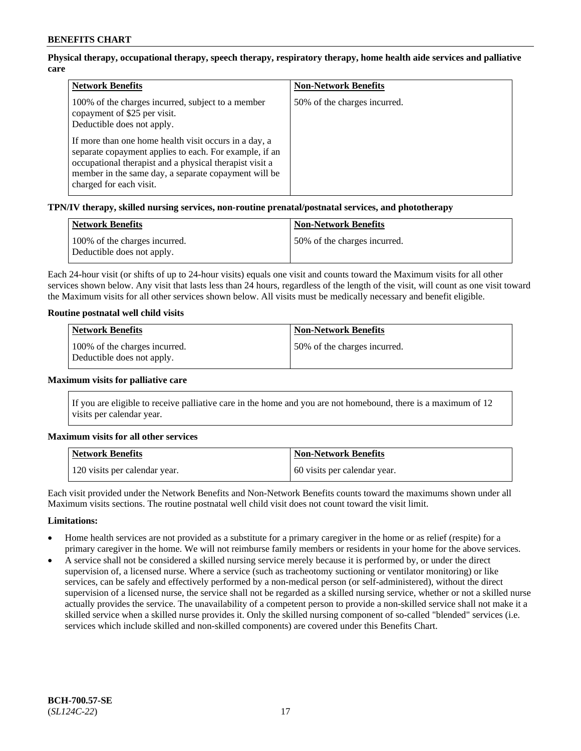## **Physical therapy, occupational therapy, speech therapy, respiratory therapy, home health aide services and palliative care**

| <b>Network Benefits</b>                                                                                                                                                                                                                                                                                                                                                          | <b>Non-Network Benefits</b>  |
|----------------------------------------------------------------------------------------------------------------------------------------------------------------------------------------------------------------------------------------------------------------------------------------------------------------------------------------------------------------------------------|------------------------------|
| 100% of the charges incurred, subject to a member<br>copayment of \$25 per visit.<br>Deductible does not apply.<br>If more than one home health visit occurs in a day, a<br>separate copayment applies to each. For example, if an<br>occupational therapist and a physical therapist visit a<br>member in the same day, a separate copayment will be<br>charged for each visit. | 50% of the charges incurred. |

### **TPN/IV therapy, skilled nursing services, non-routine prenatal/postnatal services, and phototherapy**

| <b>Network Benefits</b>                                     | <b>Non-Network Benefits</b>  |
|-------------------------------------------------------------|------------------------------|
| 100% of the charges incurred.<br>Deductible does not apply. | 50% of the charges incurred. |

Each 24-hour visit (or shifts of up to 24-hour visits) equals one visit and counts toward the Maximum visits for all other services shown below. Any visit that lasts less than 24 hours, regardless of the length of the visit, will count as one visit toward the Maximum visits for all other services shown below. All visits must be medically necessary and benefit eligible.

### **Routine postnatal well child visits**

| <b>Network Benefits</b>                                     | <b>Non-Network Benefits</b>  |
|-------------------------------------------------------------|------------------------------|
| 100% of the charges incurred.<br>Deductible does not apply. | 50% of the charges incurred. |

#### **Maximum visits for palliative care**

If you are eligible to receive palliative care in the home and you are not homebound, there is a maximum of 12 visits per calendar year.

### **Maximum visits for all other services**

| <b>Network Benefits</b>       | <b>Non-Network Benefits</b>  |
|-------------------------------|------------------------------|
| 120 visits per calendar year. | 60 visits per calendar year. |

Each visit provided under the Network Benefits and Non-Network Benefits counts toward the maximums shown under all Maximum visits sections. The routine postnatal well child visit does not count toward the visit limit.

### **Limitations:**

- Home health services are not provided as a substitute for a primary caregiver in the home or as relief (respite) for a primary caregiver in the home. We will not reimburse family members or residents in your home for the above services.
- A service shall not be considered a skilled nursing service merely because it is performed by, or under the direct supervision of, a licensed nurse. Where a service (such as tracheotomy suctioning or ventilator monitoring) or like services, can be safely and effectively performed by a non-medical person (or self-administered), without the direct supervision of a licensed nurse, the service shall not be regarded as a skilled nursing service, whether or not a skilled nurse actually provides the service. The unavailability of a competent person to provide a non-skilled service shall not make it a skilled service when a skilled nurse provides it. Only the skilled nursing component of so-called "blended" services (i.e. services which include skilled and non-skilled components) are covered under this Benefits Chart.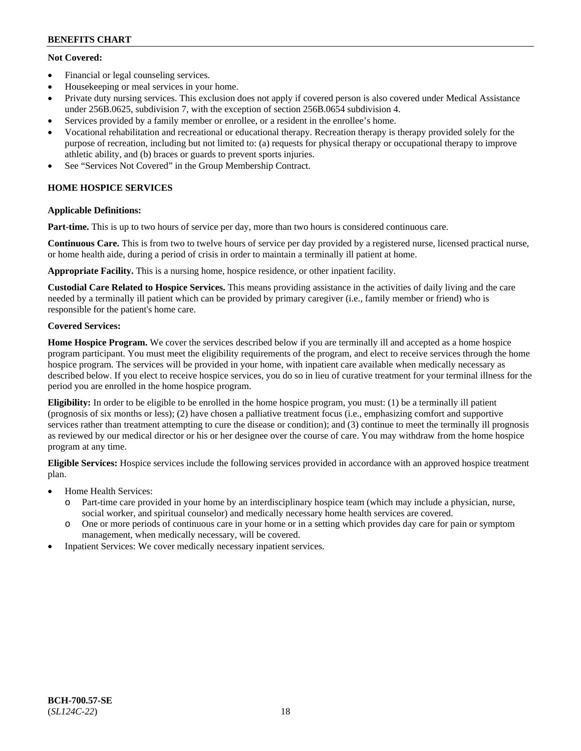## **Not Covered:**

- Financial or legal counseling services.
- Housekeeping or meal services in your home.
- Private duty nursing services. This exclusion does not apply if covered person is also covered under Medical Assistance under 256B.0625, subdivision 7, with the exception of section 256B.0654 subdivision 4.
- Services provided by a family member or enrollee, or a resident in the enrollee's home.
- Vocational rehabilitation and recreational or educational therapy. Recreation therapy is therapy provided solely for the purpose of recreation, including but not limited to: (a) requests for physical therapy or occupational therapy to improve athletic ability, and (b) braces or guards to prevent sports injuries.
- See "Services Not Covered" in the Group Membership Contract.

## **HOME HOSPICE SERVICES**

## **Applicable Definitions:**

**Part-time.** This is up to two hours of service per day, more than two hours is considered continuous care.

**Continuous Care.** This is from two to twelve hours of service per day provided by a registered nurse, licensed practical nurse, or home health aide, during a period of crisis in order to maintain a terminally ill patient at home.

**Appropriate Facility.** This is a nursing home, hospice residence, or other inpatient facility.

**Custodial Care Related to Hospice Services.** This means providing assistance in the activities of daily living and the care needed by a terminally ill patient which can be provided by primary caregiver (i.e., family member or friend) who is responsible for the patient's home care.

## **Covered Services:**

**Home Hospice Program.** We cover the services described below if you are terminally ill and accepted as a home hospice program participant. You must meet the eligibility requirements of the program, and elect to receive services through the home hospice program. The services will be provided in your home, with inpatient care available when medically necessary as described below. If you elect to receive hospice services, you do so in lieu of curative treatment for your terminal illness for the period you are enrolled in the home hospice program.

**Eligibility:** In order to be eligible to be enrolled in the home hospice program, you must: (1) be a terminally ill patient (prognosis of six months or less); (2) have chosen a palliative treatment focus (i.e., emphasizing comfort and supportive services rather than treatment attempting to cure the disease or condition); and (3) continue to meet the terminally ill prognosis as reviewed by our medical director or his or her designee over the course of care. You may withdraw from the home hospice program at any time.

**Eligible Services:** Hospice services include the following services provided in accordance with an approved hospice treatment plan.

- Home Health Services:
	- o Part-time care provided in your home by an interdisciplinary hospice team (which may include a physician, nurse, social worker, and spiritual counselor) and medically necessary home health services are covered.
	- o One or more periods of continuous care in your home or in a setting which provides day care for pain or symptom management, when medically necessary, will be covered.
- Inpatient Services: We cover medically necessary inpatient services.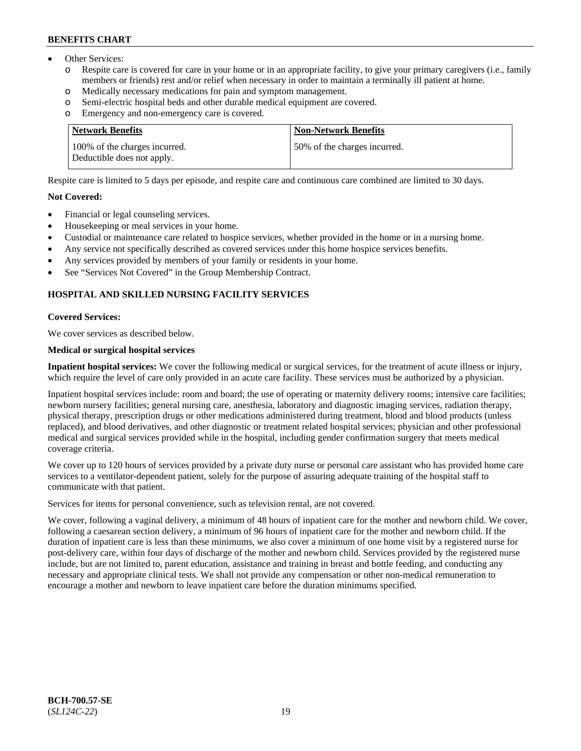- Other Services:
	- Respite care is covered for care in your home or in an appropriate facility, to give your primary caregivers (i.e., family members or friends) rest and/or relief when necessary in order to maintain a terminally ill patient at home.
	- o Medically necessary medications for pain and symptom management.
	- o Semi-electric hospital beds and other durable medical equipment are covered.
	- Emergency and non-emergency care is covered.

| Network Benefits                                            | <b>Non-Network Benefits</b>  |
|-------------------------------------------------------------|------------------------------|
| 100% of the charges incurred.<br>Deductible does not apply. | 50% of the charges incurred. |

Respite care is limited to 5 days per episode, and respite care and continuous care combined are limited to 30 days.

### **Not Covered:**

- Financial or legal counseling services.
- Housekeeping or meal services in your home.
- Custodial or maintenance care related to hospice services, whether provided in the home or in a nursing home.
- Any service not specifically described as covered services under this home hospice services benefits.
- Any services provided by members of your family or residents in your home.
- See "Services Not Covered" in the Group Membership Contract.

## **HOSPITAL AND SKILLED NURSING FACILITY SERVICES**

#### **Covered Services:**

We cover services as described below.

#### **Medical or surgical hospital services**

**Inpatient hospital services:** We cover the following medical or surgical services, for the treatment of acute illness or injury, which require the level of care only provided in an acute care facility. These services must be authorized by a physician.

Inpatient hospital services include: room and board; the use of operating or maternity delivery rooms; intensive care facilities; newborn nursery facilities; general nursing care, anesthesia, laboratory and diagnostic imaging services, radiation therapy, physical therapy, prescription drugs or other medications administered during treatment, blood and blood products (unless replaced), and blood derivatives, and other diagnostic or treatment related hospital services; physician and other professional medical and surgical services provided while in the hospital, including gender confirmation surgery that meets medical coverage criteria.

We cover up to 120 hours of services provided by a private duty nurse or personal care assistant who has provided home care services to a ventilator-dependent patient, solely for the purpose of assuring adequate training of the hospital staff to communicate with that patient.

Services for items for personal convenience, such as television rental, are not covered.

We cover, following a vaginal delivery, a minimum of 48 hours of inpatient care for the mother and newborn child. We cover, following a caesarean section delivery, a minimum of 96 hours of inpatient care for the mother and newborn child. If the duration of inpatient care is less than these minimums, we also cover a minimum of one home visit by a registered nurse for post-delivery care, within four days of discharge of the mother and newborn child. Services provided by the registered nurse include, but are not limited to, parent education, assistance and training in breast and bottle feeding, and conducting any necessary and appropriate clinical tests. We shall not provide any compensation or other non-medical remuneration to encourage a mother and newborn to leave inpatient care before the duration minimums specified.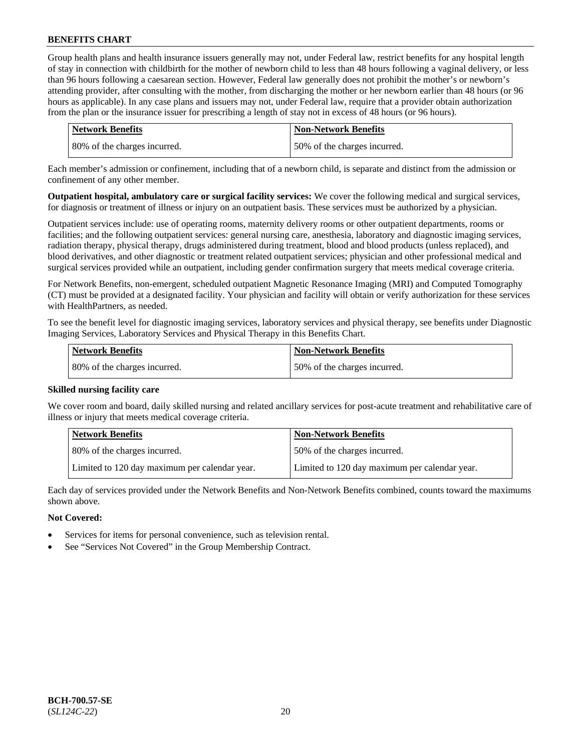Group health plans and health insurance issuers generally may not, under Federal law, restrict benefits for any hospital length of stay in connection with childbirth for the mother of newborn child to less than 48 hours following a vaginal delivery, or less than 96 hours following a caesarean section. However, Federal law generally does not prohibit the mother's or newborn's attending provider, after consulting with the mother, from discharging the mother or her newborn earlier than 48 hours (or 96 hours as applicable). In any case plans and issuers may not, under Federal law, require that a provider obtain authorization from the plan or the insurance issuer for prescribing a length of stay not in excess of 48 hours (or 96 hours).

| <b>Network Benefits</b>      | <b>Non-Network Benefits</b>  |
|------------------------------|------------------------------|
| 80% of the charges incurred. | 50% of the charges incurred. |

Each member's admission or confinement, including that of a newborn child, is separate and distinct from the admission or confinement of any other member.

**Outpatient hospital, ambulatory care or surgical facility services:** We cover the following medical and surgical services, for diagnosis or treatment of illness or injury on an outpatient basis. These services must be authorized by a physician.

Outpatient services include: use of operating rooms, maternity delivery rooms or other outpatient departments, rooms or facilities; and the following outpatient services: general nursing care, anesthesia, laboratory and diagnostic imaging services, radiation therapy, physical therapy, drugs administered during treatment, blood and blood products (unless replaced), and blood derivatives, and other diagnostic or treatment related outpatient services; physician and other professional medical and surgical services provided while an outpatient, including gender confirmation surgery that meets medical coverage criteria.

For Network Benefits, non-emergent, scheduled outpatient Magnetic Resonance Imaging (MRI) and Computed Tomography (CT) must be provided at a designated facility. Your physician and facility will obtain or verify authorization for these services with HealthPartners, as needed.

To see the benefit level for diagnostic imaging services, laboratory services and physical therapy, see benefits under Diagnostic Imaging Services, Laboratory Services and Physical Therapy in this Benefits Chart.

| <b>Network Benefits</b>      | <b>Non-Network Benefits</b>  |
|------------------------------|------------------------------|
| 80% of the charges incurred. | 50% of the charges incurred. |

### **Skilled nursing facility care**

We cover room and board, daily skilled nursing and related ancillary services for post-acute treatment and rehabilitative care of illness or injury that meets medical coverage criteria.

| Network Benefits                              | <b>Non-Network Benefits</b>                   |
|-----------------------------------------------|-----------------------------------------------|
| 80% of the charges incurred.                  | 50% of the charges incurred.                  |
| Limited to 120 day maximum per calendar year. | Limited to 120 day maximum per calendar year. |

Each day of services provided under the Network Benefits and Non-Network Benefits combined, counts toward the maximums shown above.

### **Not Covered:**

- Services for items for personal convenience, such as television rental.
- See "Services Not Covered" in the Group Membership Contract.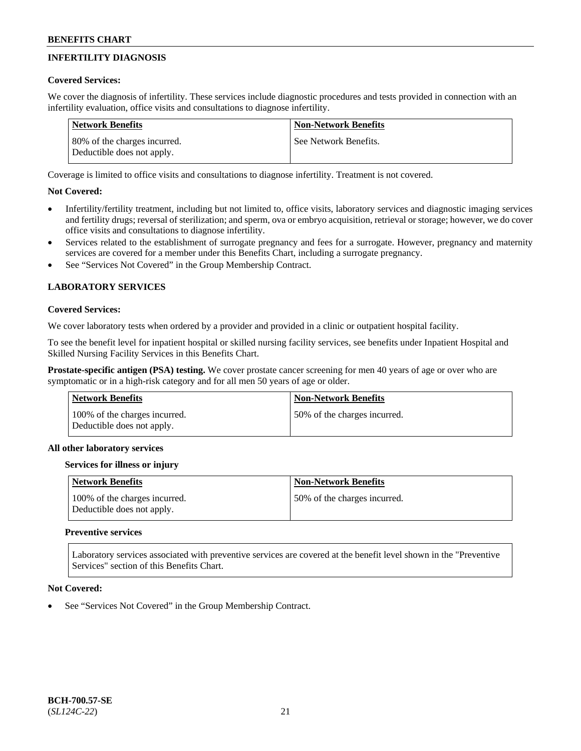## **INFERTILITY DIAGNOSIS**

## **Covered Services:**

We cover the diagnosis of infertility. These services include diagnostic procedures and tests provided in connection with an infertility evaluation, office visits and consultations to diagnose infertility.

| Network Benefits                                           | <b>Non-Network Benefits</b> |
|------------------------------------------------------------|-----------------------------|
| 80% of the charges incurred.<br>Deductible does not apply. | See Network Benefits.       |

Coverage is limited to office visits and consultations to diagnose infertility. Treatment is not covered.

## **Not Covered:**

- Infertility/fertility treatment, including but not limited to, office visits, laboratory services and diagnostic imaging services and fertility drugs; reversal of sterilization; and sperm, ova or embryo acquisition, retrieval or storage; however, we do cover office visits and consultations to diagnose infertility.
- Services related to the establishment of surrogate pregnancy and fees for a surrogate. However, pregnancy and maternity services are covered for a member under this Benefits Chart, including a surrogate pregnancy.
- See "Services Not Covered" in the Group Membership Contract.

## **LABORATORY SERVICES**

#### **Covered Services:**

We cover laboratory tests when ordered by a provider and provided in a clinic or outpatient hospital facility.

To see the benefit level for inpatient hospital or skilled nursing facility services, see benefits under Inpatient Hospital and Skilled Nursing Facility Services in this Benefits Chart.

**Prostate-specific antigen (PSA) testing.** We cover prostate cancer screening for men 40 years of age or over who are symptomatic or in a high-risk category and for all men 50 years of age or older.

| Network Benefits                                            | <b>Non-Network Benefits</b>  |
|-------------------------------------------------------------|------------------------------|
| 100% of the charges incurred.<br>Deductible does not apply. | 50% of the charges incurred. |

### **All other laboratory services**

### **Services for illness or injury**

| Network Benefits                                            | <b>Non-Network Benefits</b>  |
|-------------------------------------------------------------|------------------------------|
| 100% of the charges incurred.<br>Deductible does not apply. | 50% of the charges incurred. |

### **Preventive services**

Laboratory services associated with preventive services are covered at the benefit level shown in the "Preventive Services" section of this Benefits Chart.

### **Not Covered:**

See "Services Not Covered" in the Group Membership Contract.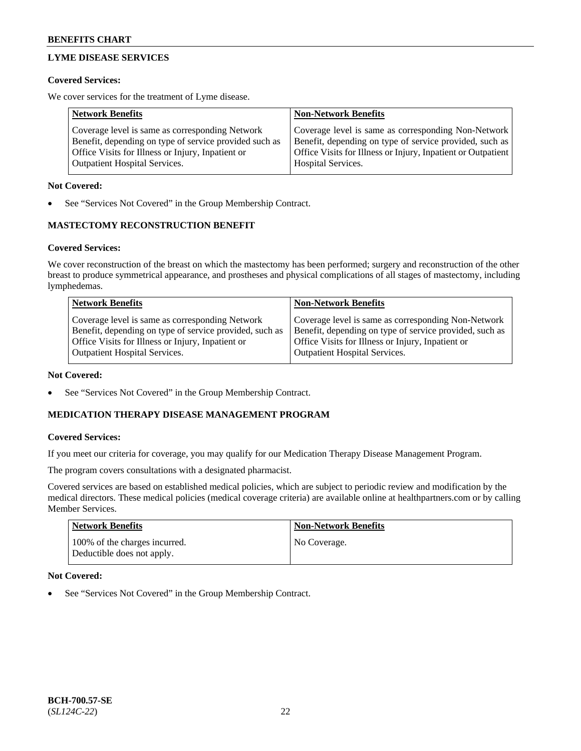## **LYME DISEASE SERVICES**

#### **Covered Services:**

We cover services for the treatment of Lyme disease.

| <b>Network Benefits</b>                                | <b>Non-Network Benefits</b>                                  |
|--------------------------------------------------------|--------------------------------------------------------------|
| Coverage level is same as corresponding Network        | Coverage level is same as corresponding Non-Network          |
| Benefit, depending on type of service provided such as | Benefit, depending on type of service provided, such as      |
| Office Visits for Illness or Injury, Inpatient or      | Office Visits for Illness or Injury, Inpatient or Outpatient |
| <b>Outpatient Hospital Services.</b>                   | Hospital Services.                                           |

#### **Not Covered:**

See "Services Not Covered" in the Group Membership Contract.

## **MASTECTOMY RECONSTRUCTION BENEFIT**

#### **Covered Services:**

We cover reconstruction of the breast on which the mastectomy has been performed; surgery and reconstruction of the other breast to produce symmetrical appearance, and prostheses and physical complications of all stages of mastectomy, including lymphedemas.

| <b>Network Benefits</b>                                 | <b>Non-Network Benefits</b>                             |
|---------------------------------------------------------|---------------------------------------------------------|
| Coverage level is same as corresponding Network         | Coverage level is same as corresponding Non-Network     |
| Benefit, depending on type of service provided, such as | Benefit, depending on type of service provided, such as |
| Office Visits for Illness or Injury, Inpatient or       | Office Visits for Illness or Injury, Inpatient or       |
| <b>Outpatient Hospital Services.</b>                    | <b>Outpatient Hospital Services.</b>                    |

#### **Not Covered:**

See "Services Not Covered" in the Group Membership Contract.

### **MEDICATION THERAPY DISEASE MANAGEMENT PROGRAM**

#### **Covered Services:**

If you meet our criteria for coverage, you may qualify for our Medication Therapy Disease Management Program.

The program covers consultations with a designated pharmacist.

Covered services are based on established medical policies, which are subject to periodic review and modification by the medical directors. These medical policies (medical coverage criteria) are available online at [healthpartners.com](https://www.healthpartners.com/hp/index.html) or by calling Member Services.

| <b>Network Benefits</b>                                     | <b>Non-Network Benefits</b> |
|-------------------------------------------------------------|-----------------------------|
| 100% of the charges incurred.<br>Deductible does not apply. | No Coverage.                |

### **Not Covered:**

See "Services Not Covered" in the Group Membership Contract.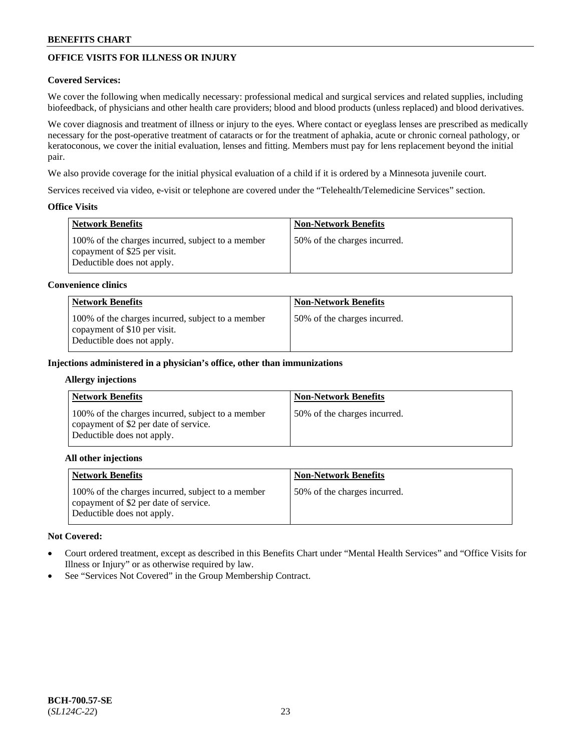## **OFFICE VISITS FOR ILLNESS OR INJURY**

### **Covered Services:**

We cover the following when medically necessary: professional medical and surgical services and related supplies, including biofeedback, of physicians and other health care providers; blood and blood products (unless replaced) and blood derivatives.

We cover diagnosis and treatment of illness or injury to the eyes. Where contact or eyeglass lenses are prescribed as medically necessary for the post-operative treatment of cataracts or for the treatment of aphakia, acute or chronic corneal pathology, or keratoconous, we cover the initial evaluation, lenses and fitting. Members must pay for lens replacement beyond the initial pair.

We also provide coverage for the initial physical evaluation of a child if it is ordered by a Minnesota juvenile court.

Services received via video, e-visit or telephone are covered under the "Telehealth/Telemedicine Services" section.

#### **Office Visits**

| Network Benefits                                                                                                | <b>Non-Network Benefits</b>  |
|-----------------------------------------------------------------------------------------------------------------|------------------------------|
| 100% of the charges incurred, subject to a member<br>copayment of \$25 per visit.<br>Deductible does not apply. | 50% of the charges incurred. |

#### **Convenience clinics**

| <b>Network Benefits</b>                                                                                         | <b>Non-Network Benefits</b>  |
|-----------------------------------------------------------------------------------------------------------------|------------------------------|
| 100% of the charges incurred, subject to a member<br>copayment of \$10 per visit.<br>Deductible does not apply. | 50% of the charges incurred. |

#### **Injections administered in a physician's office, other than immunizations**

#### **Allergy injections**

| <b>Network Benefits</b>                                                                                                  | <b>Non-Network Benefits</b>  |
|--------------------------------------------------------------------------------------------------------------------------|------------------------------|
| 100% of the charges incurred, subject to a member<br>copayment of \$2 per date of service.<br>Deductible does not apply. | 50% of the charges incurred. |

#### **All other injections**

| Network Benefits                                                                                                         | <b>Non-Network Benefits</b>  |
|--------------------------------------------------------------------------------------------------------------------------|------------------------------|
| 100% of the charges incurred, subject to a member<br>copayment of \$2 per date of service.<br>Deductible does not apply. | 50% of the charges incurred. |

#### **Not Covered:**

- Court ordered treatment, except as described in this Benefits Chart under "Mental Health Services" and "Office Visits for Illness or Injury" or as otherwise required by law.
- See "Services Not Covered" in the Group Membership Contract.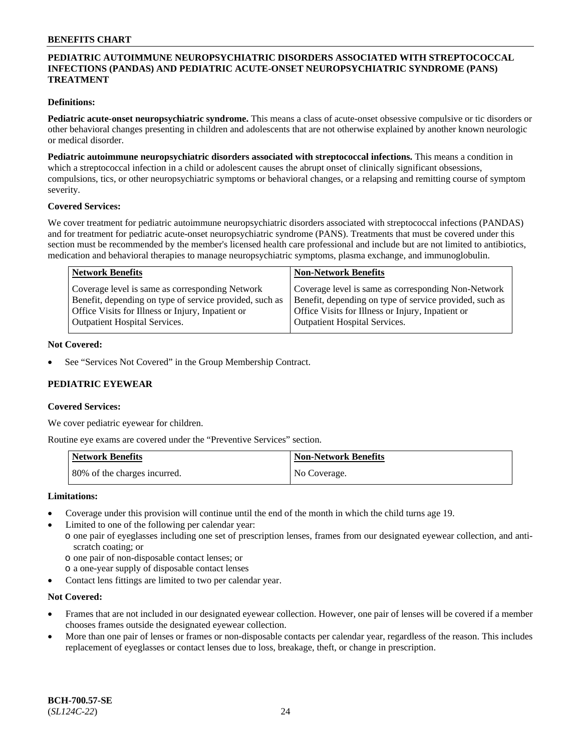### **PEDIATRIC AUTOIMMUNE NEUROPSYCHIATRIC DISORDERS ASSOCIATED WITH STREPTOCOCCAL INFECTIONS (PANDAS) AND PEDIATRIC ACUTE-ONSET NEUROPSYCHIATRIC SYNDROME (PANS) TREATMENT**

### **Definitions:**

**Pediatric acute-onset neuropsychiatric syndrome.** This means a class of acute-onset obsessive compulsive or tic disorders or other behavioral changes presenting in children and adolescents that are not otherwise explained by another known neurologic or medical disorder.

**Pediatric autoimmune neuropsychiatric disorders associated with streptococcal infections.** This means a condition in which a streptococcal infection in a child or adolescent causes the abrupt onset of clinically significant obsessions, compulsions, tics, or other neuropsychiatric symptoms or behavioral changes, or a relapsing and remitting course of symptom severity.

#### **Covered Services:**

We cover treatment for pediatric autoimmune neuropsychiatric disorders associated with streptococcal infections (PANDAS) and for treatment for pediatric acute-onset neuropsychiatric syndrome (PANS). Treatments that must be covered under this section must be recommended by the member's licensed health care professional and include but are not limited to antibiotics, medication and behavioral therapies to manage neuropsychiatric symptoms, plasma exchange, and immunoglobulin.

| <b>Network Benefits</b>                                 | <b>Non-Network Benefits</b>                             |
|---------------------------------------------------------|---------------------------------------------------------|
| Coverage level is same as corresponding Network         | Coverage level is same as corresponding Non-Network     |
| Benefit, depending on type of service provided, such as | Benefit, depending on type of service provided, such as |
| Office Visits for Illness or Injury, Inpatient or       | Office Visits for Illness or Injury, Inpatient or       |
| <b>Outpatient Hospital Services.</b>                    | <b>Outpatient Hospital Services.</b>                    |

#### **Not Covered:**

See "Services Not Covered" in the Group Membership Contract.

### **PEDIATRIC EYEWEAR**

#### **Covered Services:**

We cover pediatric eyewear for children.

Routine eye exams are covered under the "Preventive Services" section.

| Network Benefits             | Non-Network Benefits |
|------------------------------|----------------------|
| 80% of the charges incurred. | No Coverage.         |

#### **Limitations:**

- Coverage under this provision will continue until the end of the month in which the child turns age 19.
- Limited to one of the following per calendar year:
	- o one pair of eyeglasses including one set of prescription lenses, frames from our designated eyewear collection, and antiscratch coating; or
		- o one pair of non-disposable contact lenses; or
		- o a one-year supply of disposable contact lenses
- Contact lens fittings are limited to two per calendar year.

### **Not Covered:**

- Frames that are not included in our designated eyewear collection. However, one pair of lenses will be covered if a member chooses frames outside the designated eyewear collection.
- More than one pair of lenses or frames or non-disposable contacts per calendar year, regardless of the reason. This includes replacement of eyeglasses or contact lenses due to loss, breakage, theft, or change in prescription.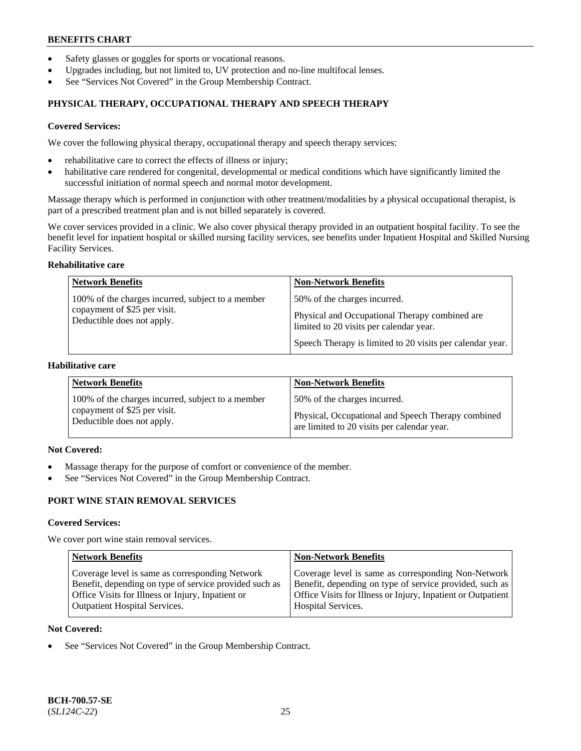- Safety glasses or goggles for sports or vocational reasons.
- Upgrades including, but not limited to, UV protection and no-line multifocal lenses.
- See "Services Not Covered" in the Group Membership Contract.

## **PHYSICAL THERAPY, OCCUPATIONAL THERAPY AND SPEECH THERAPY**

#### **Covered Services:**

We cover the following physical therapy, occupational therapy and speech therapy services:

- rehabilitative care to correct the effects of illness or injury;
- habilitative care rendered for congenital, developmental or medical conditions which have significantly limited the successful initiation of normal speech and normal motor development.

Massage therapy which is performed in conjunction with other treatment/modalities by a physical occupational therapist, is part of a prescribed treatment plan and is not billed separately is covered.

We cover services provided in a clinic. We also cover physical therapy provided in an outpatient hospital facility. To see the benefit level for inpatient hospital or skilled nursing facility services, see benefits under Inpatient Hospital and Skilled Nursing Facility Services.

#### **Rehabilitative care**

| <b>Network Benefits</b>                                                                                         | <b>Non-Network Benefits</b>                                                                                               |
|-----------------------------------------------------------------------------------------------------------------|---------------------------------------------------------------------------------------------------------------------------|
| 100% of the charges incurred, subject to a member<br>copayment of \$25 per visit.<br>Deductible does not apply. | 50% of the charges incurred.<br>Physical and Occupational Therapy combined are<br>limited to 20 visits per calendar year. |
|                                                                                                                 | Speech Therapy is limited to 20 visits per calendar year.                                                                 |

### **Habilitative care**

| <b>Network Benefits</b>                           | <b>Non-Network Benefits</b>                        |
|---------------------------------------------------|----------------------------------------------------|
| 100% of the charges incurred, subject to a member | 50% of the charges incurred.                       |
| copayment of \$25 per visit.                      | Physical, Occupational and Speech Therapy combined |
| Deductible does not apply.                        | are limited to 20 visits per calendar year.        |

## **Not Covered:**

- Massage therapy for the purpose of comfort or convenience of the member.
- See "Services Not Covered" in the Group Membership Contract.

## **PORT WINE STAIN REMOVAL SERVICES**

#### **Covered Services:**

We cover port wine stain removal services.

| <b>Network Benefits</b>                                | <b>Non-Network Benefits</b>                                  |
|--------------------------------------------------------|--------------------------------------------------------------|
| Coverage level is same as corresponding Network        | Coverage level is same as corresponding Non-Network          |
| Benefit, depending on type of service provided such as | Benefit, depending on type of service provided, such as      |
| Office Visits for Illness or Injury, Inpatient or      | Office Visits for Illness or Injury, Inpatient or Outpatient |
| <b>Outpatient Hospital Services.</b>                   | Hospital Services.                                           |

#### **Not Covered:**

See "Services Not Covered" in the Group Membership Contract.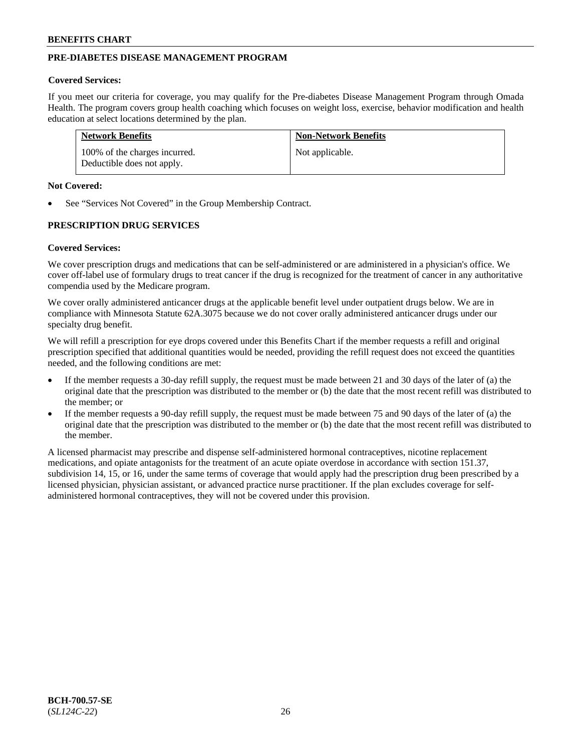## **PRE-DIABETES DISEASE MANAGEMENT PROGRAM**

#### **Covered Services:**

If you meet our criteria for coverage, you may qualify for the Pre-diabetes Disease Management Program through Omada Health. The program covers group health coaching which focuses on weight loss, exercise, behavior modification and health education at select locations determined by the plan.

| <b>Network Benefits</b>                                     | <b>Non-Network Benefits</b> |
|-------------------------------------------------------------|-----------------------------|
| 100% of the charges incurred.<br>Deductible does not apply. | Not applicable.             |

#### **Not Covered:**

See "Services Not Covered" in the Group Membership Contract.

### **PRESCRIPTION DRUG SERVICES**

#### **Covered Services:**

We cover prescription drugs and medications that can be self-administered or are administered in a physician's office. We cover off-label use of formulary drugs to treat cancer if the drug is recognized for the treatment of cancer in any authoritative compendia used by the Medicare program.

We cover orally administered anticancer drugs at the applicable benefit level under outpatient drugs below. We are in compliance with Minnesota Statute 62A.3075 because we do not cover orally administered anticancer drugs under our specialty drug benefit.

We will refill a prescription for eye drops covered under this Benefits Chart if the member requests a refill and original prescription specified that additional quantities would be needed, providing the refill request does not exceed the quantities needed, and the following conditions are met:

- If the member requests a 30-day refill supply, the request must be made between 21 and 30 days of the later of (a) the original date that the prescription was distributed to the member or (b) the date that the most recent refill was distributed to the member; or
- If the member requests a 90-day refill supply, the request must be made between 75 and 90 days of the later of (a) the original date that the prescription was distributed to the member or (b) the date that the most recent refill was distributed to the member.

A licensed pharmacist may prescribe and dispense self-administered hormonal contraceptives, nicotine replacement medications, and opiate antagonists for the treatment of an acute opiate overdose in accordance with section 151.37, subdivision 14, 15, or 16, under the same terms of coverage that would apply had the prescription drug been prescribed by a licensed physician, physician assistant, or advanced practice nurse practitioner. If the plan excludes coverage for selfadministered hormonal contraceptives, they will not be covered under this provision.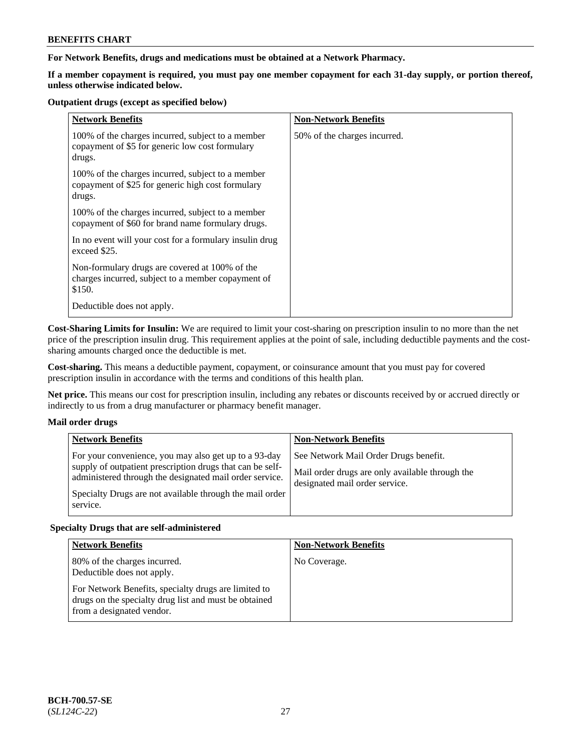### **For Network Benefits, drugs and medications must be obtained at a Network Pharmacy.**

**If a member copayment is required, you must pay one member copayment for each 31-day supply, or portion thereof, unless otherwise indicated below.**

#### **Outpatient drugs (except as specified below)**

| <b>Network Benefits</b>                                                                                          | <b>Non-Network Benefits</b>  |
|------------------------------------------------------------------------------------------------------------------|------------------------------|
| 100% of the charges incurred, subject to a member<br>copayment of \$5 for generic low cost formulary<br>drugs.   | 50% of the charges incurred. |
| 100% of the charges incurred, subject to a member<br>copayment of \$25 for generic high cost formulary<br>drugs. |                              |
| 100% of the charges incurred, subject to a member<br>copayment of \$60 for brand name formulary drugs.           |                              |
| In no event will your cost for a formulary insulin drug<br>exceed \$25.                                          |                              |
| Non-formulary drugs are covered at 100% of the<br>charges incurred, subject to a member copayment of<br>\$150.   |                              |
| Deductible does not apply.                                                                                       |                              |

**Cost-Sharing Limits for Insulin:** We are required to limit your cost-sharing on prescription insulin to no more than the net price of the prescription insulin drug. This requirement applies at the point of sale, including deductible payments and the costsharing amounts charged once the deductible is met.

**Cost-sharing.** This means a deductible payment, copayment, or coinsurance amount that you must pay for covered prescription insulin in accordance with the terms and conditions of this health plan.

**Net price.** This means our cost for prescription insulin, including any rebates or discounts received by or accrued directly or indirectly to us from a drug manufacturer or pharmacy benefit manager.

### **Mail order drugs**

| <b>Network Benefits</b>                                                                                                                                                                                                                               | <b>Non-Network Benefits</b>                                                                                                |
|-------------------------------------------------------------------------------------------------------------------------------------------------------------------------------------------------------------------------------------------------------|----------------------------------------------------------------------------------------------------------------------------|
| For your convenience, you may also get up to a 93-day<br>supply of outpatient prescription drugs that can be self-<br>administered through the designated mail order service.<br>Specialty Drugs are not available through the mail order<br>service. | See Network Mail Order Drugs benefit.<br>Mail order drugs are only available through the<br>designated mail order service. |

### **Specialty Drugs that are self-administered**

| <b>Network Benefits</b>                                                                                                                    | <b>Non-Network Benefits</b> |
|--------------------------------------------------------------------------------------------------------------------------------------------|-----------------------------|
| 80% of the charges incurred.<br>Deductible does not apply.                                                                                 | No Coverage.                |
| For Network Benefits, specialty drugs are limited to<br>drugs on the specialty drug list and must be obtained<br>from a designated vendor. |                             |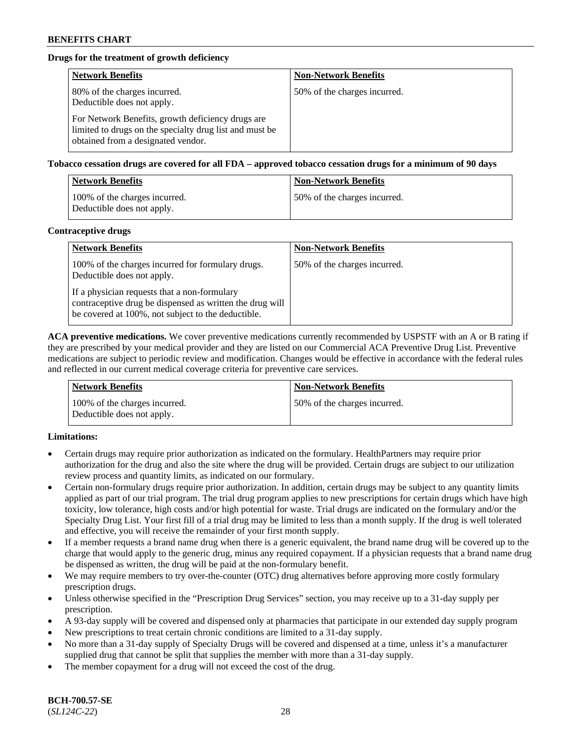## **Drugs for the treatment of growth deficiency**

| <b>Network Benefits</b>                                                                                                                            | <b>Non-Network Benefits</b>  |
|----------------------------------------------------------------------------------------------------------------------------------------------------|------------------------------|
| 80% of the charges incurred.<br>Deductible does not apply.                                                                                         | 50% of the charges incurred. |
| For Network Benefits, growth deficiency drugs are<br>limited to drugs on the specialty drug list and must be<br>obtained from a designated vendor. |                              |

**Tobacco cessation drugs are covered for all FDA – approved tobacco cessation drugs for a minimum of 90 days**

| <b>Network Benefits</b>                                     | <b>Non-Network Benefits</b>  |
|-------------------------------------------------------------|------------------------------|
| 100% of the charges incurred.<br>Deductible does not apply. | 50% of the charges incurred. |

#### **Contraceptive drugs**

| <b>Network Benefits</b>                                                                                                                                        | <b>Non-Network Benefits</b>  |
|----------------------------------------------------------------------------------------------------------------------------------------------------------------|------------------------------|
| 100% of the charges incurred for formulary drugs.<br>Deductible does not apply.                                                                                | 50% of the charges incurred. |
| If a physician requests that a non-formulary<br>contraceptive drug be dispensed as written the drug will<br>be covered at 100%, not subject to the deductible. |                              |

**ACA preventive medications.** We cover preventive medications currently recommended by USPSTF with an A or B rating if they are prescribed by your medical provider and they are listed on our Commercial ACA Preventive Drug List. Preventive medications are subject to periodic review and modification. Changes would be effective in accordance with the federal rules and reflected in our current medical coverage criteria for preventive care services.

| Network Benefits                                            | <b>Non-Network Benefits</b>  |
|-------------------------------------------------------------|------------------------------|
| 100% of the charges incurred.<br>Deductible does not apply. | 50% of the charges incurred. |

### **Limitations:**

- Certain drugs may require prior authorization as indicated on the formulary. HealthPartners may require prior authorization for the drug and also the site where the drug will be provided. Certain drugs are subject to our utilization review process and quantity limits, as indicated on our formulary.
- Certain non-formulary drugs require prior authorization. In addition, certain drugs may be subject to any quantity limits applied as part of our trial program. The trial drug program applies to new prescriptions for certain drugs which have high toxicity, low tolerance, high costs and/or high potential for waste. Trial drugs are indicated on the formulary and/or the Specialty Drug List. Your first fill of a trial drug may be limited to less than a month supply. If the drug is well tolerated and effective, you will receive the remainder of your first month supply.
- If a member requests a brand name drug when there is a generic equivalent, the brand name drug will be covered up to the charge that would apply to the generic drug, minus any required copayment. If a physician requests that a brand name drug be dispensed as written, the drug will be paid at the non-formulary benefit.
- We may require members to try over-the-counter (OTC) drug alternatives before approving more costly formulary prescription drugs.
- Unless otherwise specified in the "Prescription Drug Services" section, you may receive up to a 31-day supply per prescription.
- A 93-day supply will be covered and dispensed only at pharmacies that participate in our extended day supply program
- New prescriptions to treat certain chronic conditions are limited to a 31-day supply.
- No more than a 31-day supply of Specialty Drugs will be covered and dispensed at a time, unless it's a manufacturer supplied drug that cannot be split that supplies the member with more than a 31-day supply.
- The member copayment for a drug will not exceed the cost of the drug.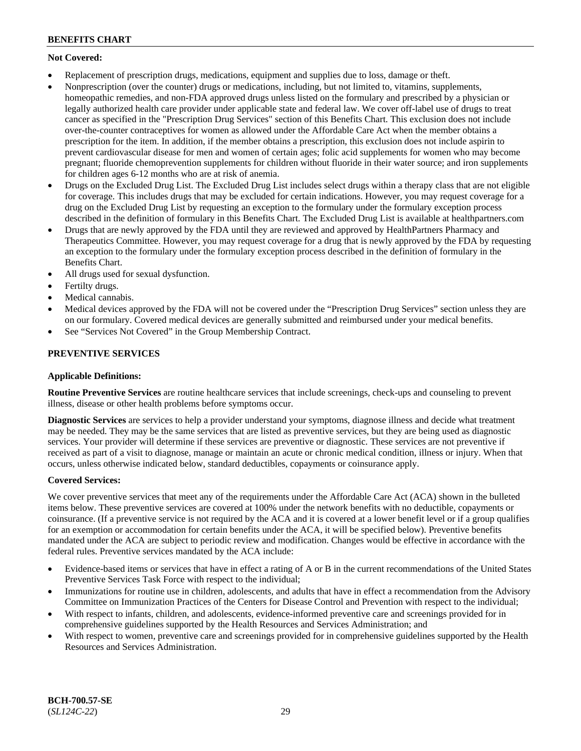## **Not Covered:**

- Replacement of prescription drugs, medications, equipment and supplies due to loss, damage or theft.
- Nonprescription (over the counter) drugs or medications, including, but not limited to, vitamins, supplements, homeopathic remedies, and non-FDA approved drugs unless listed on the formulary and prescribed by a physician or legally authorized health care provider under applicable state and federal law. We cover off-label use of drugs to treat cancer as specified in the "Prescription Drug Services" section of this Benefits Chart. This exclusion does not include over-the-counter contraceptives for women as allowed under the Affordable Care Act when the member obtains a prescription for the item. In addition, if the member obtains a prescription, this exclusion does not include aspirin to prevent cardiovascular disease for men and women of certain ages; folic acid supplements for women who may become pregnant; fluoride chemoprevention supplements for children without fluoride in their water source; and iron supplements for children ages 6-12 months who are at risk of anemia.
- Drugs on the Excluded Drug List. The Excluded Drug List includes select drugs within a therapy class that are not eligible for coverage. This includes drugs that may be excluded for certain indications. However, you may request coverage for a drug on the Excluded Drug List by requesting an exception to the formulary under the formulary exception process described in the definition of formulary in this Benefits Chart. The Excluded Drug List is available at [healthpartners.com](http://www.healthpartners.com/)
- Drugs that are newly approved by the FDA until they are reviewed and approved by HealthPartners Pharmacy and Therapeutics Committee. However, you may request coverage for a drug that is newly approved by the FDA by requesting an exception to the formulary under the formulary exception process described in the definition of formulary in the Benefits Chart.
- All drugs used for sexual dysfunction.
- Fertilty drugs.
- Medical cannabis.
- Medical devices approved by the FDA will not be covered under the "Prescription Drug Services" section unless they are on our formulary. Covered medical devices are generally submitted and reimbursed under your medical benefits.
- See "Services Not Covered" in the Group Membership Contract.

## **PREVENTIVE SERVICES**

### **Applicable Definitions:**

**Routine Preventive Services** are routine healthcare services that include screenings, check-ups and counseling to prevent illness, disease or other health problems before symptoms occur.

**Diagnostic Services** are services to help a provider understand your symptoms, diagnose illness and decide what treatment may be needed. They may be the same services that are listed as preventive services, but they are being used as diagnostic services. Your provider will determine if these services are preventive or diagnostic. These services are not preventive if received as part of a visit to diagnose, manage or maintain an acute or chronic medical condition, illness or injury. When that occurs, unless otherwise indicated below, standard deductibles, copayments or coinsurance apply.

### **Covered Services:**

We cover preventive services that meet any of the requirements under the Affordable Care Act (ACA) shown in the bulleted items below. These preventive services are covered at 100% under the network benefits with no deductible, copayments or coinsurance. (If a preventive service is not required by the ACA and it is covered at a lower benefit level or if a group qualifies for an exemption or accommodation for certain benefits under the ACA, it will be specified below). Preventive benefits mandated under the ACA are subject to periodic review and modification. Changes would be effective in accordance with the federal rules. Preventive services mandated by the ACA include:

- Evidence-based items or services that have in effect a rating of A or B in the current recommendations of the United States Preventive Services Task Force with respect to the individual;
- Immunizations for routine use in children, adolescents, and adults that have in effect a recommendation from the Advisory Committee on Immunization Practices of the Centers for Disease Control and Prevention with respect to the individual;
- With respect to infants, children, and adolescents, evidence-informed preventive care and screenings provided for in comprehensive guidelines supported by the Health Resources and Services Administration; and
- With respect to women, preventive care and screenings provided for in comprehensive guidelines supported by the Health Resources and Services Administration.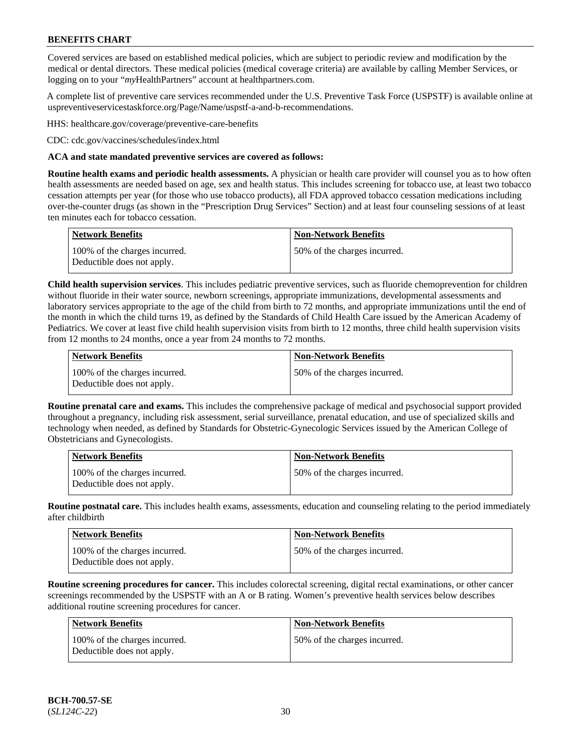Covered services are based on established medical policies, which are subject to periodic review and modification by the medical or dental directors. These medical policies (medical coverage criteria) are available by calling Member Services, or logging on to your "*my*HealthPartners" account at [healthpartners.com.](http://www.healthpartners.com/)

A complete list of preventive care services recommended under the U.S. Preventive Task Force (USPSTF) is available online at [uspreventiveservicestaskforce.org/Page/Name/uspstf-a-and-b-recommendations.](https://www.uspreventiveservicestaskforce.org/Page/Name/uspstf-a-and-b-recommendations-by-date/)

HHS: [healthcare.gov/coverage/preventive-care-benefits](https://www.healthcare.gov/coverage/preventive-care-benefits/)

CDC: [cdc.gov/vaccines/schedules/index.html](https://www.cdc.gov/vaccines/schedules/index.html)

#### **ACA and state mandated preventive services are covered as follows:**

**Routine health exams and periodic health assessments.** A physician or health care provider will counsel you as to how often health assessments are needed based on age, sex and health status. This includes screening for tobacco use, at least two tobacco cessation attempts per year (for those who use tobacco products), all FDA approved tobacco cessation medications including over-the-counter drugs (as shown in the "Prescription Drug Services" Section) and at least four counseling sessions of at least ten minutes each for tobacco cessation.

| Network Benefits                                            | <b>Non-Network Benefits</b>  |
|-------------------------------------------------------------|------------------------------|
| 100% of the charges incurred.<br>Deductible does not apply. | 50% of the charges incurred. |

**Child health supervision services**. This includes pediatric preventive services, such as fluoride chemoprevention for children without fluoride in their water source, newborn screenings, appropriate immunizations, developmental assessments and laboratory services appropriate to the age of the child from birth to 72 months, and appropriate immunizations until the end of the month in which the child turns 19, as defined by the Standards of Child Health Care issued by the American Academy of Pediatrics. We cover at least five child health supervision visits from birth to 12 months, three child health supervision visits from 12 months to 24 months, once a year from 24 months to 72 months.

| Network Benefits                                            | <b>Non-Network Benefits</b>  |
|-------------------------------------------------------------|------------------------------|
| 100% of the charges incurred.<br>Deductible does not apply. | 50% of the charges incurred. |

**Routine prenatal care and exams.** This includes the comprehensive package of medical and psychosocial support provided throughout a pregnancy, including risk assessment, serial surveillance, prenatal education, and use of specialized skills and technology when needed, as defined by Standards for Obstetric-Gynecologic Services issued by the American College of Obstetricians and Gynecologists.

| <b>Network Benefits</b>                                     | Non-Network Benefits         |
|-------------------------------------------------------------|------------------------------|
| 100% of the charges incurred.<br>Deductible does not apply. | 50% of the charges incurred. |

**Routine postnatal care.** This includes health exams, assessments, education and counseling relating to the period immediately after childbirth

| <b>Network Benefits</b>                                     | <b>Non-Network Benefits</b>  |
|-------------------------------------------------------------|------------------------------|
| 100% of the charges incurred.<br>Deductible does not apply. | 50% of the charges incurred. |

**Routine screening procedures for cancer.** This includes colorectal screening, digital rectal examinations, or other cancer screenings recommended by the USPSTF with an A or B rating. Women's preventive health services below describes additional routine screening procedures for cancer.

| <b>Network Benefits</b>                                     | <b>Non-Network Benefits</b>  |
|-------------------------------------------------------------|------------------------------|
| 100% of the charges incurred.<br>Deductible does not apply. | 50% of the charges incurred. |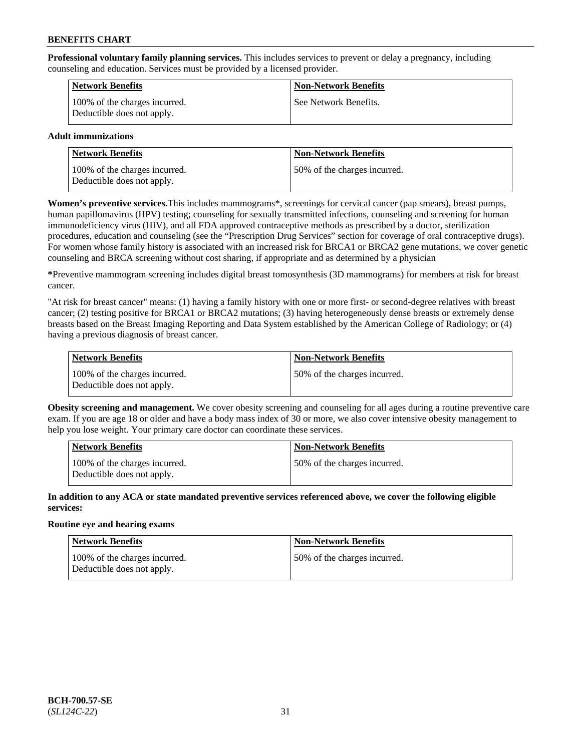**Professional voluntary family planning services.** This includes services to prevent or delay a pregnancy, including counseling and education. Services must be provided by a licensed provider.

| <b>Network Benefits</b>                                     | <b>Non-Network Benefits</b> |
|-------------------------------------------------------------|-----------------------------|
| 100% of the charges incurred.<br>Deductible does not apply. | See Network Benefits.       |

### **Adult immunizations**

| <b>Network Benefits</b>                                     | <b>Non-Network Benefits</b>  |
|-------------------------------------------------------------|------------------------------|
| 100% of the charges incurred.<br>Deductible does not apply. | 50% of the charges incurred. |

**Women's preventive services.**This includes mammograms\*, screenings for cervical cancer (pap smears), breast pumps, human papillomavirus (HPV) testing; counseling for sexually transmitted infections, counseling and screening for human immunodeficiency virus (HIV), and all FDA approved contraceptive methods as prescribed by a doctor, sterilization procedures, education and counseling (see the "Prescription Drug Services" section for coverage of oral contraceptive drugs). For women whose family history is associated with an increased risk for BRCA1 or BRCA2 gene mutations, we cover genetic counseling and BRCA screening without cost sharing, if appropriate and as determined by a physician

**\***Preventive mammogram screening includes digital breast tomosynthesis (3D mammograms) for members at risk for breast cancer.

"At risk for breast cancer" means: (1) having a family history with one or more first- or second-degree relatives with breast cancer; (2) testing positive for BRCA1 or BRCA2 mutations; (3) having heterogeneously dense breasts or extremely dense breasts based on the Breast Imaging Reporting and Data System established by the American College of Radiology; or (4) having a previous diagnosis of breast cancer.

| Network Benefits                                            | <b>Non-Network Benefits</b>  |
|-------------------------------------------------------------|------------------------------|
| 100% of the charges incurred.<br>Deductible does not apply. | 50% of the charges incurred. |

**Obesity screening and management.** We cover obesity screening and counseling for all ages during a routine preventive care exam. If you are age 18 or older and have a body mass index of 30 or more, we also cover intensive obesity management to help you lose weight. Your primary care doctor can coordinate these services.

| <b>Network Benefits</b>                                     | <b>Non-Network Benefits</b>   |
|-------------------------------------------------------------|-------------------------------|
| 100% of the charges incurred.<br>Deductible does not apply. | 150% of the charges incurred. |

**In addition to any ACA or state mandated preventive services referenced above, we cover the following eligible services:**

### **Routine eye and hearing exams**

| Network Benefits                                            | <b>Non-Network Benefits</b>  |
|-------------------------------------------------------------|------------------------------|
| 100% of the charges incurred.<br>Deductible does not apply. | 50% of the charges incurred. |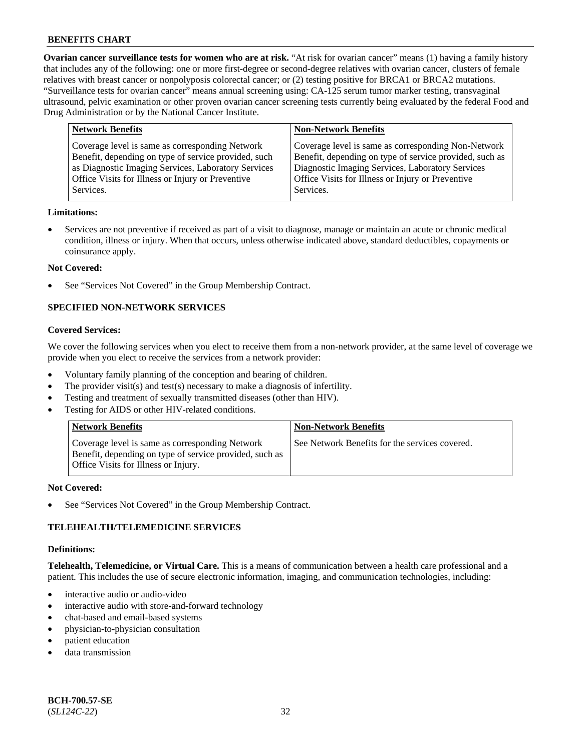**Ovarian cancer surveillance tests for women who are at risk.** "At risk for ovarian cancer" means (1) having a family history that includes any of the following: one or more first-degree or second-degree relatives with ovarian cancer, clusters of female relatives with breast cancer or nonpolyposis colorectal cancer; or (2) testing positive for BRCA1 or BRCA2 mutations. "Surveillance tests for ovarian cancer" means annual screening using: CA-125 serum tumor marker testing, transvaginal ultrasound, pelvic examination or other proven ovarian cancer screening tests currently being evaluated by the federal Food and Drug Administration or by the National Cancer Institute.

| <b>Network Benefits</b>                                                                                                                                                                                                          | <b>Non-Network Benefits</b>                                                                                                                                                                                                          |
|----------------------------------------------------------------------------------------------------------------------------------------------------------------------------------------------------------------------------------|--------------------------------------------------------------------------------------------------------------------------------------------------------------------------------------------------------------------------------------|
| Coverage level is same as corresponding Network<br>Benefit, depending on type of service provided, such<br>as Diagnostic Imaging Services, Laboratory Services<br>Office Visits for Illness or Injury or Preventive<br>Services. | Coverage level is same as corresponding Non-Network<br>Benefit, depending on type of service provided, such as<br>Diagnostic Imaging Services, Laboratory Services<br>Office Visits for Illness or Injury or Preventive<br>Services. |
|                                                                                                                                                                                                                                  |                                                                                                                                                                                                                                      |

#### **Limitations:**

• Services are not preventive if received as part of a visit to diagnose, manage or maintain an acute or chronic medical condition, illness or injury. When that occurs, unless otherwise indicated above, standard deductibles, copayments or coinsurance apply.

#### **Not Covered:**

See "Services Not Covered" in the Group Membership Contract.

## **SPECIFIED NON-NETWORK SERVICES**

## **Covered Services:**

We cover the following services when you elect to receive them from a non-network provider, at the same level of coverage we provide when you elect to receive the services from a network provider:

- Voluntary family planning of the conception and bearing of children.
- The provider visit(s) and test(s) necessary to make a diagnosis of infertility.
- Testing and treatment of sexually transmitted diseases (other than HIV).
- Testing for AIDS or other HIV-related conditions.

| <b>Network Benefits</b>                                                                                                                            | <b>Non-Network Benefits</b>                    |
|----------------------------------------------------------------------------------------------------------------------------------------------------|------------------------------------------------|
| Coverage level is same as corresponding Network<br>Benefit, depending on type of service provided, such as<br>Office Visits for Illness or Injury. | See Network Benefits for the services covered. |

#### **Not Covered:**

See "Services Not Covered" in the Group Membership Contract.

### **TELEHEALTH/TELEMEDICINE SERVICES**

#### **Definitions:**

**Telehealth, Telemedicine, or Virtual Care.** This is a means of communication between a health care professional and a patient. This includes the use of secure electronic information, imaging, and communication technologies, including:

- interactive audio or audio-video
- interactive audio with store-and-forward technology
- chat-based and email-based systems
- physician-to-physician consultation
- patient education
- data transmission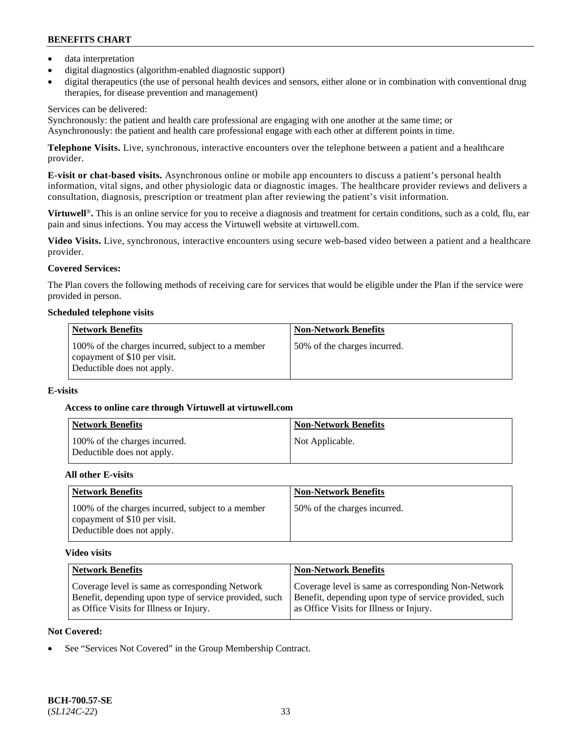- data interpretation
- digital diagnostics (algorithm-enabled diagnostic support)
- digital therapeutics (the use of personal health devices and sensors, either alone or in combination with conventional drug therapies, for disease prevention and management)

## Services can be delivered:

Synchronously: the patient and health care professional are engaging with one another at the same time; or Asynchronously: the patient and health care professional engage with each other at different points in time.

**Telephone Visits.** Live, synchronous, interactive encounters over the telephone between a patient and a healthcare provider.

**E-visit or chat-based visits.** Asynchronous online or mobile app encounters to discuss a patient's personal health information, vital signs, and other physiologic data or diagnostic images. The healthcare provider reviews and delivers a consultation, diagnosis, prescription or treatment plan after reviewing the patient's visit information.

**Virtuwell<sup>®</sup>**. This is an online service for you to receive a diagnosis and treatment for certain conditions, such as a cold, flu, ear pain and sinus infections. You may access the Virtuwell website at [virtuwell.com.](https://www.virtuwell.com/)

**Video Visits.** Live, synchronous, interactive encounters using secure web-based video between a patient and a healthcare provider.

## **Covered Services:**

The Plan covers the following methods of receiving care for services that would be eligible under the Plan if the service were provided in person.

#### **Scheduled telephone visits**

| <b>Network Benefits</b>                                                                                         | <b>Non-Network Benefits</b>  |
|-----------------------------------------------------------------------------------------------------------------|------------------------------|
| 100% of the charges incurred, subject to a member<br>copayment of \$10 per visit.<br>Deductible does not apply. | 50% of the charges incurred. |

### **E-visits**

### **Access to online care through Virtuwell at [virtuwell.com](https://www.virtuwell.com/)**

| Network Benefits                                            | <b>Non-Network Benefits</b> |
|-------------------------------------------------------------|-----------------------------|
| 100% of the charges incurred.<br>Deductible does not apply. | Not Applicable.             |

### **All other E-visits**

| <b>Network Benefits</b>                                                                                         | <b>Non-Network Benefits</b>  |
|-----------------------------------------------------------------------------------------------------------------|------------------------------|
| 100% of the charges incurred, subject to a member<br>copayment of \$10 per visit.<br>Deductible does not apply. | 50% of the charges incurred. |

### **Video visits**

| <b>Network Benefits</b>                                | <b>Non-Network Benefits</b>                            |
|--------------------------------------------------------|--------------------------------------------------------|
| Coverage level is same as corresponding Network        | Coverage level is same as corresponding Non-Network    |
| Benefit, depending upon type of service provided, such | Benefit, depending upon type of service provided, such |
| as Office Visits for Illness or Injury.                | as Office Visits for Illness or Injury.                |

### **Not Covered:**

See "Services Not Covered" in the Group Membership Contract.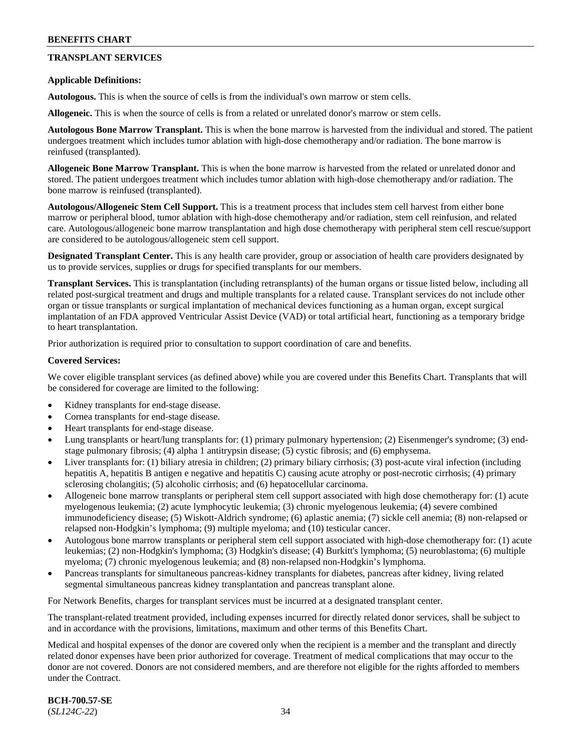## **TRANSPLANT SERVICES**

#### **Applicable Definitions:**

**Autologous.** This is when the source of cells is from the individual's own marrow or stem cells.

**Allogeneic.** This is when the source of cells is from a related or unrelated donor's marrow or stem cells.

**Autologous Bone Marrow Transplant.** This is when the bone marrow is harvested from the individual and stored. The patient undergoes treatment which includes tumor ablation with high-dose chemotherapy and/or radiation. The bone marrow is reinfused (transplanted).

**Allogeneic Bone Marrow Transplant.** This is when the bone marrow is harvested from the related or unrelated donor and stored. The patient undergoes treatment which includes tumor ablation with high-dose chemotherapy and/or radiation. The bone marrow is reinfused (transplanted).

**Autologous/Allogeneic Stem Cell Support.** This is a treatment process that includes stem cell harvest from either bone marrow or peripheral blood, tumor ablation with high-dose chemotherapy and/or radiation, stem cell reinfusion, and related care. Autologous/allogeneic bone marrow transplantation and high dose chemotherapy with peripheral stem cell rescue/support are considered to be autologous/allogeneic stem cell support.

**Designated Transplant Center.** This is any health care provider, group or association of health care providers designated by us to provide services, supplies or drugs for specified transplants for our members.

**Transplant Services.** This is transplantation (including retransplants) of the human organs or tissue listed below, including all related post-surgical treatment and drugs and multiple transplants for a related cause. Transplant services do not include other organ or tissue transplants or surgical implantation of mechanical devices functioning as a human organ, except surgical implantation of an FDA approved Ventricular Assist Device (VAD) or total artificial heart, functioning as a temporary bridge to heart transplantation.

Prior authorization is required prior to consultation to support coordination of care and benefits.

#### **Covered Services:**

We cover eligible transplant services (as defined above) while you are covered under this Benefits Chart. Transplants that will be considered for coverage are limited to the following:

- Kidney transplants for end-stage disease.
- Cornea transplants for end-stage disease.
- Heart transplants for end-stage disease.
- Lung transplants or heart/lung transplants for: (1) primary pulmonary hypertension; (2) Eisenmenger's syndrome; (3) endstage pulmonary fibrosis; (4) alpha 1 antitrypsin disease; (5) cystic fibrosis; and (6) emphysema.
- Liver transplants for: (1) biliary atresia in children; (2) primary biliary cirrhosis; (3) post-acute viral infection (including hepatitis A, hepatitis B antigen e negative and hepatitis C) causing acute atrophy or post-necrotic cirrhosis; (4) primary sclerosing cholangitis; (5) alcoholic cirrhosis; and (6) hepatocellular carcinoma.
- Allogeneic bone marrow transplants or peripheral stem cell support associated with high dose chemotherapy for: (1) acute myelogenous leukemia; (2) acute lymphocytic leukemia; (3) chronic myelogenous leukemia; (4) severe combined immunodeficiency disease; (5) Wiskott-Aldrich syndrome; (6) aplastic anemia; (7) sickle cell anemia; (8) non-relapsed or relapsed non-Hodgkin's lymphoma; (9) multiple myeloma; and (10) testicular cancer.
- Autologous bone marrow transplants or peripheral stem cell support associated with high-dose chemotherapy for: (1) acute leukemias; (2) non-Hodgkin's lymphoma; (3) Hodgkin's disease; (4) Burkitt's lymphoma; (5) neuroblastoma; (6) multiple myeloma; (7) chronic myelogenous leukemia; and (8) non-relapsed non-Hodgkin's lymphoma.
- Pancreas transplants for simultaneous pancreas-kidney transplants for diabetes, pancreas after kidney, living related segmental simultaneous pancreas kidney transplantation and pancreas transplant alone.

For Network Benefits, charges for transplant services must be incurred at a designated transplant center.

The transplant-related treatment provided, including expenses incurred for directly related donor services, shall be subject to and in accordance with the provisions, limitations, maximum and other terms of this Benefits Chart.

Medical and hospital expenses of the donor are covered only when the recipient is a member and the transplant and directly related donor expenses have been prior authorized for coverage. Treatment of medical complications that may occur to the donor are not covered. Donors are not considered members, and are therefore not eligible for the rights afforded to members under the Contract.